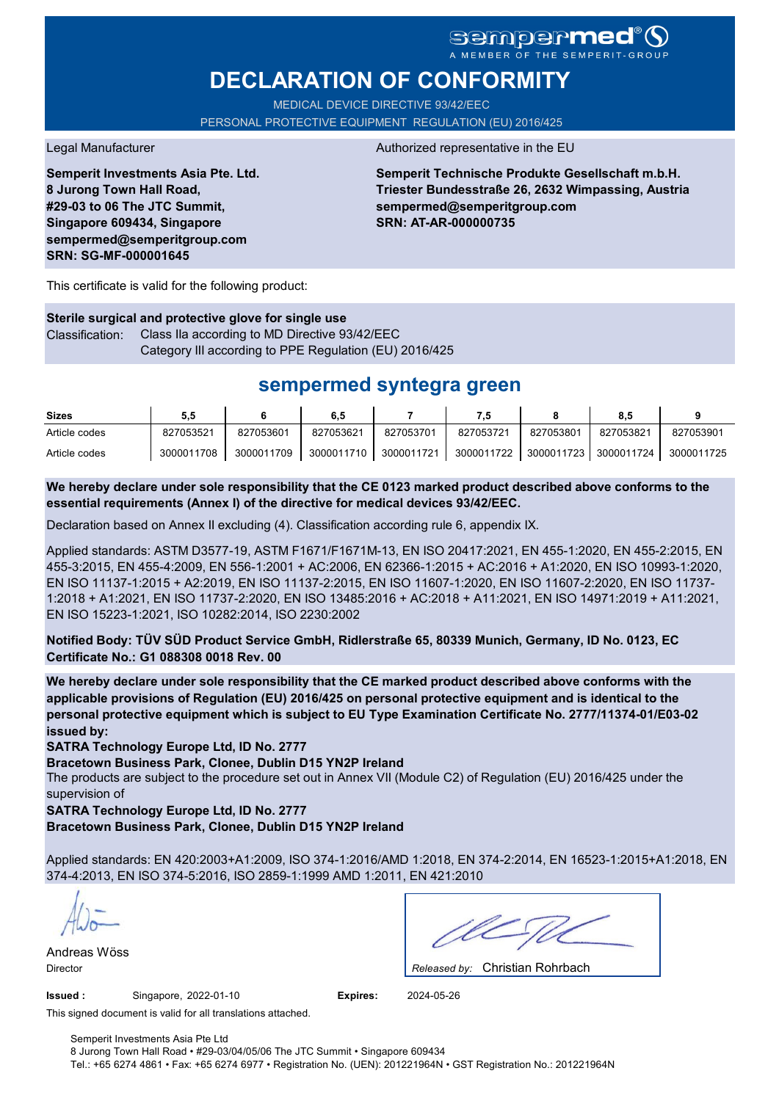# **DECLARATION OF CONFORMITY**

MEDICAL DEVICE DIRECTIVE 93/42/EEC PERSONAL PROTECTIVE EQUIPMENT REGULATION (EU) 2016/425

**Semperit Investments Asia Pte. Ltd. 8 Jurong Town Hall Road, #29-03 to 06 The JTC Summit, Singapore 609434, Singapore sempermed@semperitgroup.com SRN: SG-MF-000001645**

#### Legal Manufacturer Authorized representative in the EU

**Semperit Technische Produkte Gesellschaft m.b.H. Triester Bundesstraße 26, 2632 Wimpassing, Austria sempermed@semperitgroup.com SRN: AT-AR-000000735**

This certificate is valid for the following product:

**Sterile surgical and protective glove for single use** Classification: Class IIa according to MD Directive 93/42/EEC Category III according to PPE Regulation (EU) 2016/425

## **sempermed syntegra green**

| <b>Sizes</b>  | 5.5        |            | 6,5        |            |            |                         | 8,5       |            |
|---------------|------------|------------|------------|------------|------------|-------------------------|-----------|------------|
| Article codes | 827053521  | 827053601  | 827053621  | 827053701  | 827053721  | 827053801               | 827053821 | 827053901  |
| Article codes | 3000011708 | 3000011709 | 3000011710 | 3000011721 | 3000011722 | 3000011723   3000011724 |           | 3000011725 |

**We hereby declare under sole responsibility that the CE 0123 marked product described above conforms to the essential requirements (Annex I) of the directive for medical devices 93/42/EEC.**

Declaration based on Annex II excluding (4). Classification according rule 6, appendix IX.

Applied standards: ASTM D3577-19, ASTM F1671/F1671M-13, EN ISO 20417:2021, EN 455-1:2020, EN 455-2:2015, EN 455-3:2015, EN 455-4:2009, EN 556-1:2001 + AC:2006, EN 62366-1:2015 + AC:2016 + A1:2020, EN ISO 10993-1:2020, EN ISO 11137-1:2015 + A2:2019, EN ISO 11137-2:2015, EN ISO 11607-1:2020, EN ISO 11607-2:2020, EN ISO 11737- 1:2018 + A1:2021, EN ISO 11737-2:2020, EN ISO 13485:2016 + AC:2018 + A11:2021, EN ISO 14971:2019 + A11:2021, EN ISO 15223-1:2021, ISO 10282:2014, ISO 2230:2002

**Notified Body: TÜV SÜD Product Service GmbH, Ridlerstraße 65, 80339 Munich, Germany, ID No. 0123, EC Certificate No.: G1 088308 0018 Rev. 00** 

**We hereby declare under sole responsibility that the CE marked product described above conforms with the applicable provisions of Regulation (EU) 2016/425 on personal protective equipment and is identical to the personal protective equipment which is subject to EU Type Examination Certificate No. 2777/11374-01/E03-02 issued by:**

**SATRA Technology Europe Ltd, ID No. 2777**

**Bracetown Business Park, Clonee, Dublin D15 YN2P Ireland**

The products are subject to the procedure set out in Annex VII (Module C2) of Regulation (EU) 2016/425 under the supervision of

**SATRA Technology Europe Ltd, ID No. 2777**

**Bracetown Business Park, Clonee, Dublin D15 YN2P Ireland**

Applied standards: EN 420:2003+A1:2009, ISO 374-1:2016/AMD 1:2018, EN 374-2:2014, EN 16523-1:2015+A1:2018, EN 374-4:2013, EN ISO 374-5:2016, ISO 2859-1:1999 AMD 1:2011, EN 421:2010

Andreas Wöss

Christian Rohrbach Director *Released by:* 

**Issued :** Singapore, 2022-01-10

2022-01-10 **Expires:** 2024-05-26

This signed document is valid for all translations attached.

Semperit Investments Asia Pte Ltd 8 Jurong Town Hall Road • #29-03/04/05/06 The JTC Summit • Singapore 609434 Tel.: +65 6274 4861 • Fax: +65 6274 6977 • Registration No. (UEN): 201221964N • GST Registration No.: 201221964N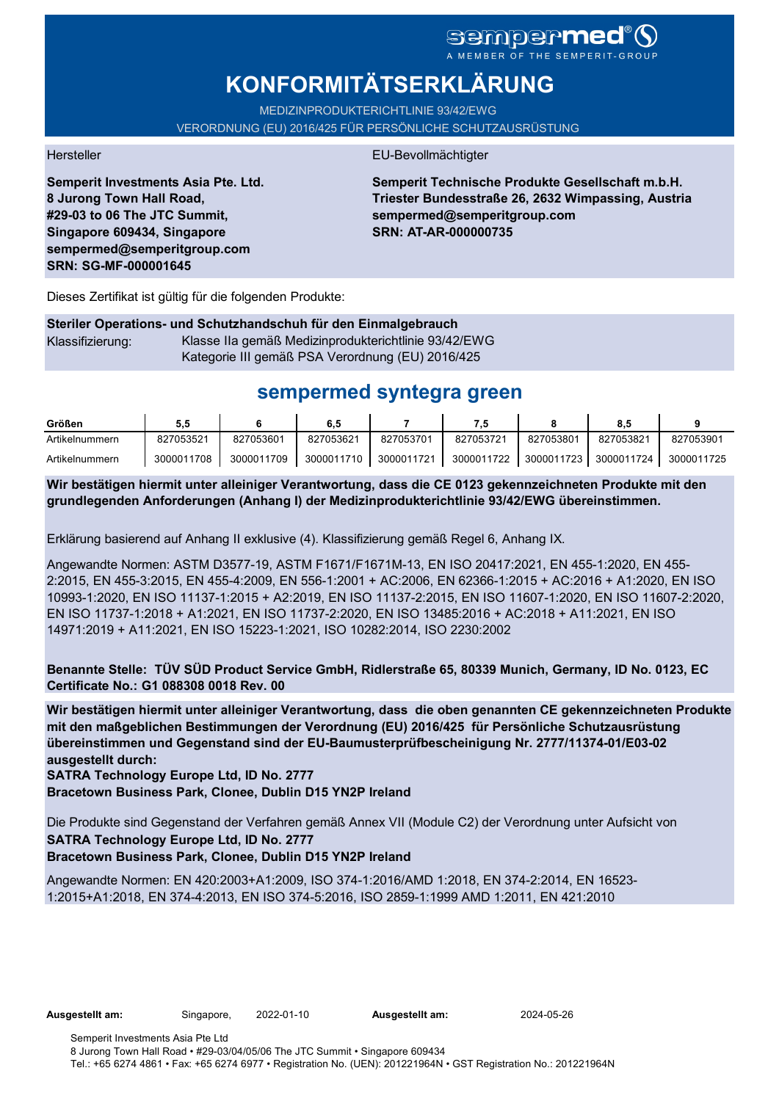# sempermed®

# **KONFORMITÄTSERKLÄRUNG**

MEDIZINPRODUKTERICHTLINIE 93/42/EWG

VERORDNUNG (EU) 2016/425 FÜR PERSÖNLICHE SCHUTZAUSRÜSTUNG

**Semperit Investments Asia Pte. Ltd. 8 Jurong Town Hall Road, #29-03 to 06 The JTC Summit, Singapore 609434, Singapore sempermed@semperitgroup.com SRN: SG-MF-000001645**

#### Hersteller EU-Bevollmächtigter

**Semperit Technische Produkte Gesellschaft m.b.H. Triester Bundesstraße 26, 2632 Wimpassing, Austria sempermed@semperitgroup.com SRN: AT-AR-000000735**

Dieses Zertifikat ist gültig für die folgenden Produkte:

### **Steriler Operations- und Schutzhandschuh für den Einmalgebrauch** Klassifizierung: Klasse IIa gemäß Medizinprodukterichtlinie 93/42/EWG Kategorie III gemäß PSA Verordnung (EU) 2016/425

## **sempermed syntegra green**

| Größen         | ວ.ວ        |            | 6.5        |            |            |            | ၓ.Ե        |            |
|----------------|------------|------------|------------|------------|------------|------------|------------|------------|
| Artikelnummern | 827053521  | 827053601  | 827053621  | 827053701  | 827053721  | 827053801  | 827053821  | 827053901  |
| Artikelnummern | 3000011708 | 3000011709 | 3000011710 | 3000011721 | 3000011722 | 3000011723 | 3000011724 | 3000011725 |

**Wir bestätigen hiermit unter alleiniger Verantwortung, dass die CE 0123 gekennzeichneten Produkte mit den grundlegenden Anforderungen (Anhang I) der Medizinprodukterichtlinie 93/42/EWG übereinstimmen.**

Erklärung basierend auf Anhang II exklusive (4). Klassifizierung gemäß Regel 6, Anhang IX.

Angewandte Normen: ASTM D3577-19, ASTM F1671/F1671M-13, EN ISO 20417:2021, EN 455-1:2020, EN 455- 2:2015, EN 455-3:2015, EN 455-4:2009, EN 556-1:2001 + AC:2006, EN 62366-1:2015 + AC:2016 + A1:2020, EN ISO 10993-1:2020, EN ISO 11137-1:2015 + A2:2019, EN ISO 11137-2:2015, EN ISO 11607-1:2020, EN ISO 11607-2:2020, EN ISO 11737-1:2018 + A1:2021, EN ISO 11737-2:2020, EN ISO 13485:2016 + AC:2018 + A11:2021, EN ISO 14971:2019 + A11:2021, EN ISO 15223-1:2021, ISO 10282:2014, ISO 2230:2002

**Benannte Stelle: TÜV SÜD Product Service GmbH, Ridlerstraße 65, 80339 Munich, Germany, ID No. 0123, EC Certificate No.: G1 088308 0018 Rev. 00** 

**Wir bestätigen hiermit unter alleiniger Verantwortung, dass die oben genannten CE gekennzeichneten Produkte mit den maßgeblichen Bestimmungen der Verordnung (EU) 2016/425 für Persönliche Schutzausrüstung übereinstimmen und Gegenstand sind der EU-Baumusterprüfbescheinigung Nr. 2777/11374-01/E03-02 ausgestellt durch:**

**SATRA Technology Europe Ltd, ID No. 2777**

**Bracetown Business Park, Clonee, Dublin D15 YN2P Ireland**

Die Produkte sind Gegenstand der Verfahren gemäß Annex VII (Module C2) der Verordnung unter Aufsicht von **SATRA Technology Europe Ltd, ID No. 2777**

**Bracetown Business Park, Clonee, Dublin D15 YN2P Ireland**

Angewandte Normen: EN 420:2003+A1:2009, ISO 374-1:2016/AMD 1:2018, EN 374-2:2014, EN 16523- 1:2015+A1:2018, EN 374-4:2013, EN ISO 374-5:2016, ISO 2859-1:1999 AMD 1:2011, EN 421:2010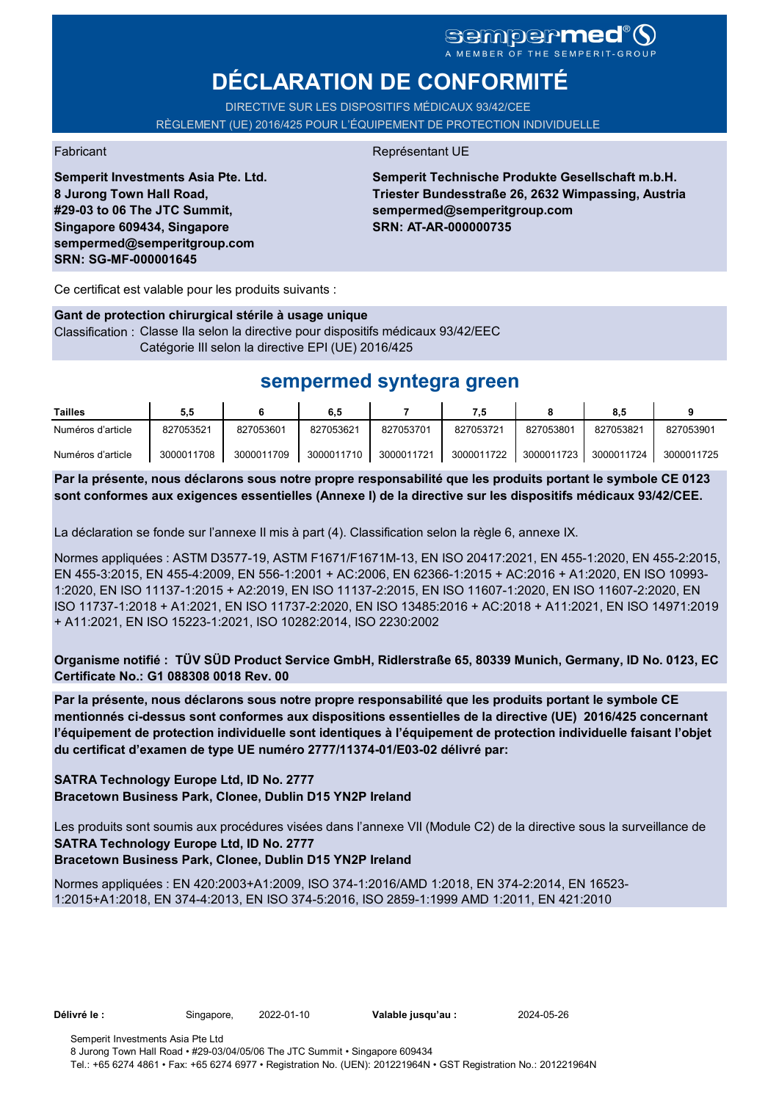# sempermed<sup>®</sup>()

# **DÉCLARATION DE CONFORMITÉ**

DIRECTIVE SUR LES DISPOSITIFS MÉDICAUX 93/42/CEE RÈGLEMENT (UE) 2016/425 POUR L'ÉQUIPEMENT DE PROTECTION INDIVIDUELLE

**Semperit Investments Asia Pte. Ltd. 8 Jurong Town Hall Road, #29-03 to 06 The JTC Summit, Singapore 609434, Singapore sempermed@semperitgroup.com SRN: SG-MF-000001645**

#### Fabricant **Représentant UE**

**Semperit Technische Produkte Gesellschaft m.b.H. Triester Bundesstraße 26, 2632 Wimpassing, Austria sempermed@semperitgroup.com SRN: AT-AR-000000735**

Ce certificat est valable pour les produits suivants :

#### **Gant de protection chirurgical stérile à usage unique**

Classification : Classe IIa selon la directive pour dispositifs médicaux 93/42/EEC Catégorie III selon la directive EPI (UE) 2016/425

## **sempermed syntegra green**

| Tailles           | 5.5        |            | 6.5        |            |            |            | 8.5        |            |
|-------------------|------------|------------|------------|------------|------------|------------|------------|------------|
| Numéros d'article | 827053521  | 827053601  | 827053621  | 827053701  | 827053721  | 827053801  | 827053821  | 827053901  |
| Numéros d'article | 3000011708 | 3000011709 | 3000011710 | 3000011721 | 3000011722 | 3000011723 | 3000011724 | 3000011725 |

**Par la présente, nous déclarons sous notre propre responsabilité que les produits portant le symbole CE 0123 sont conformes aux exigences essentielles (Annexe I) de la directive sur les dispositifs médicaux 93/42/CEE.**

La déclaration se fonde sur l'annexe II mis à part (4). Classification selon la règle 6, annexe IX.

Normes appliquées : ASTM D3577-19, ASTM F1671/F1671M-13, EN ISO 20417:2021, EN 455-1:2020, EN 455-2:2015, EN 455-3:2015, EN 455-4:2009, EN 556-1:2001 + AC:2006, EN 62366-1:2015 + AC:2016 + A1:2020, EN ISO 10993- 1:2020, EN ISO 11137-1:2015 + A2:2019, EN ISO 11137-2:2015, EN ISO 11607-1:2020, EN ISO 11607-2:2020, EN ISO 11737-1:2018 + A1:2021, EN ISO 11737-2:2020, EN ISO 13485:2016 + AC:2018 + A11:2021, EN ISO 14971:2019 + A11:2021, EN ISO 15223-1:2021, ISO 10282:2014, ISO 2230:2002

**Organisme notifié : TÜV SÜD Product Service GmbH, Ridlerstraße 65, 80339 Munich, Germany, ID No. 0123, EC Certificate No.: G1 088308 0018 Rev. 00** 

**Par la présente, nous déclarons sous notre propre responsabilité que les produits portant le symbole CE mentionnés ci-dessus sont conformes aux dispositions essentielles de la directive (UE) 2016/425 concernant l'équipement de protection individuelle sont identiques à l'équipement de protection individuelle faisant l'objet du certificat d'examen de type UE numéro 2777/11374-01/E03-02 délivré par:**

### **SATRA Technology Europe Ltd, ID No. 2777**

**Bracetown Business Park, Clonee, Dublin D15 YN2P Ireland**

Les produits sont soumis aux procédures visées dans l'annexe VII (Module C2) de la directive sous la surveillance de **SATRA Technology Europe Ltd, ID No. 2777**

### **Bracetown Business Park, Clonee, Dublin D15 YN2P Ireland**

Normes appliquées : EN 420:2003+A1:2009, ISO 374-1:2016/AMD 1:2018, EN 374-2:2014, EN 16523- 1:2015+A1:2018, EN 374-4:2013, EN ISO 374-5:2016, ISO 2859-1:1999 AMD 1:2011, EN 421:2010

**Délivré le :** Singapore, **Valable jusqu'au :** 2022-01-10 2024-05-26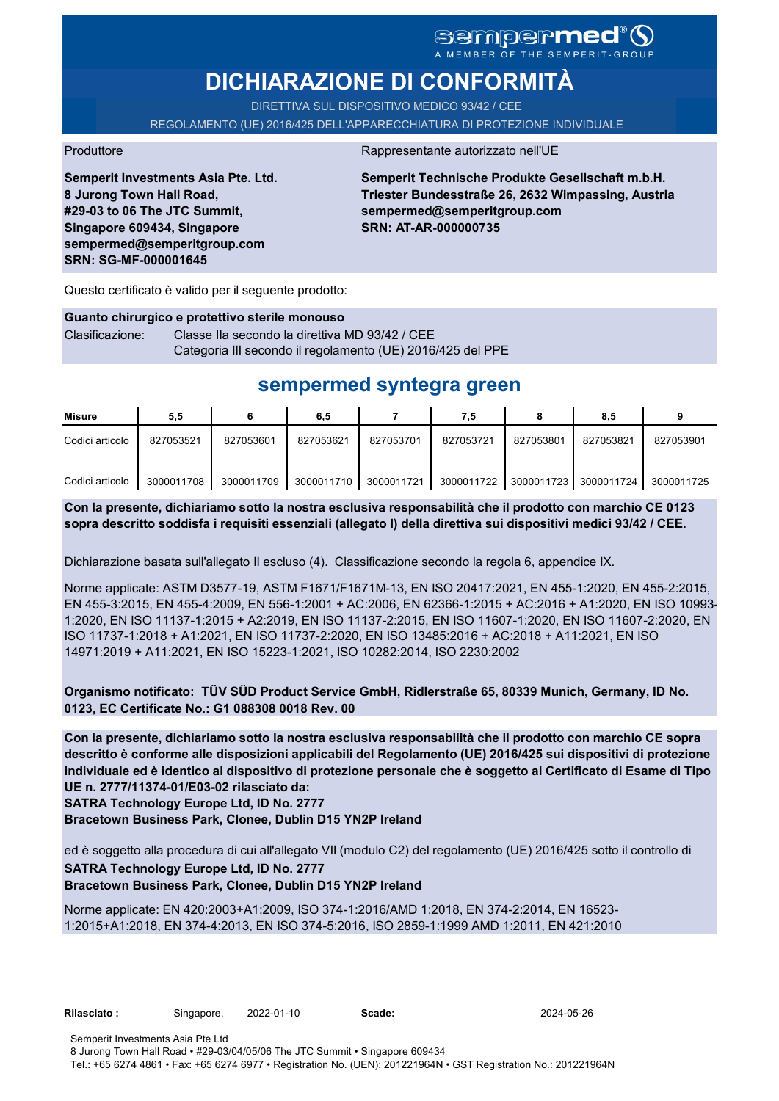# sempermed®

# **DICHIARAZIONE DI CONFORMITÀ**

DIRETTIVA SUL DISPOSITIVO MEDICO 93/42 / CEE REGOLAMENTO (UE) 2016/425 DELL'APPARECCHIATURA DI PROTEZIONE INDIVIDUALE

Produttore **Rappresentante autorizzato nell'UE** 

**Semperit Investments Asia Pte. Ltd. 8 Jurong Town Hall Road, #29-03 to 06 The JTC Summit, Singapore 609434, Singapore sempermed@semperitgroup.com SRN: SG-MF-000001645**

**Semperit Technische Produkte Gesellschaft m.b.H. Triester Bundesstraße 26, 2632 Wimpassing, Austria sempermed@semperitgroup.com SRN: AT-AR-000000735**

Questo certificato è valido per il seguente prodotto:

**Guanto chirurgico e protettivo sterile monouso** Clasificazione: Classe IIa secondo la direttiva MD 93/42 / CEE Categoria III secondo il regolamento (UE) 2016/425 del PPE

## **sempermed syntegra green**

| Misure          | 5,5        |            | 6,5        |            | 7.5        |            | 8,5        |            |
|-----------------|------------|------------|------------|------------|------------|------------|------------|------------|
| Codici articolo | 827053521  | 827053601  | 827053621  | 827053701  | 827053721  | 827053801  | 827053821  | 827053901  |
| Codici articolo | 3000011708 | 3000011709 | 3000011710 | 3000011721 | 3000011722 | 3000011723 | 3000011724 | 3000011725 |

**Con la presente, dichiariamo sotto la nostra esclusiva responsabilità che il prodotto con marchio CE 0123 sopra descritto soddisfa i requisiti essenziali (allegato I) della direttiva sui dispositivi medici 93/42 / CEE.**

Dichiarazione basata sull'allegato II escluso (4). Classificazione secondo la regola 6, appendice IX.

Norme applicate: ASTM D3577-19, ASTM F1671/F1671M-13, EN ISO 20417:2021, EN 455-1:2020, EN 455-2:2015, EN 455-3:2015, EN 455-4:2009, EN 556-1:2001 + AC:2006, EN 62366-1:2015 + AC:2016 + A1:2020, EN ISO 10993- 1:2020, EN ISO 11137-1:2015 + A2:2019, EN ISO 11137-2:2015, EN ISO 11607-1:2020, EN ISO 11607-2:2020, EN ISO 11737-1:2018 + A1:2021, EN ISO 11737-2:2020, EN ISO 13485:2016 + AC:2018 + A11:2021, EN ISO 14971:2019 + A11:2021, EN ISO 15223-1:2021, ISO 10282:2014, ISO 2230:2002

**Organismo notificato: TÜV SÜD Product Service GmbH, Ridlerstraße 65, 80339 Munich, Germany, ID No. 0123, EC Certificate No.: G1 088308 0018 Rev. 00** 

**Con la presente, dichiariamo sotto la nostra esclusiva responsabilità che il prodotto con marchio CE sopra descritto è conforme alle disposizioni applicabili del Regolamento (UE) 2016/425 sui dispositivi di protezione individuale ed è identico al dispositivo di protezione personale che è soggetto al Certificato di Esame di Tipo UE n. 2777/11374-01/E03-02 rilasciato da:**

**SATRA Technology Europe Ltd, ID No. 2777**

**Bracetown Business Park, Clonee, Dublin D15 YN2P Ireland**

ed è soggetto alla procedura di cui all'allegato VII (modulo C2) del regolamento (UE) 2016/425 sotto il controllo di

### **SATRA Technology Europe Ltd, ID No. 2777**

**Bracetown Business Park, Clonee, Dublin D15 YN2P Ireland**

Norme applicate: EN 420:2003+A1:2009, ISO 374-1:2016/AMD 1:2018, EN 374-2:2014, EN 16523- 1:2015+A1:2018, EN 374-4:2013, EN ISO 374-5:2016, ISO 2859-1:1999 AMD 1:2011, EN 421:2010

Rilasciato: Singapore, 2022-01-10 Scade:

2022-01-10 2024-05-26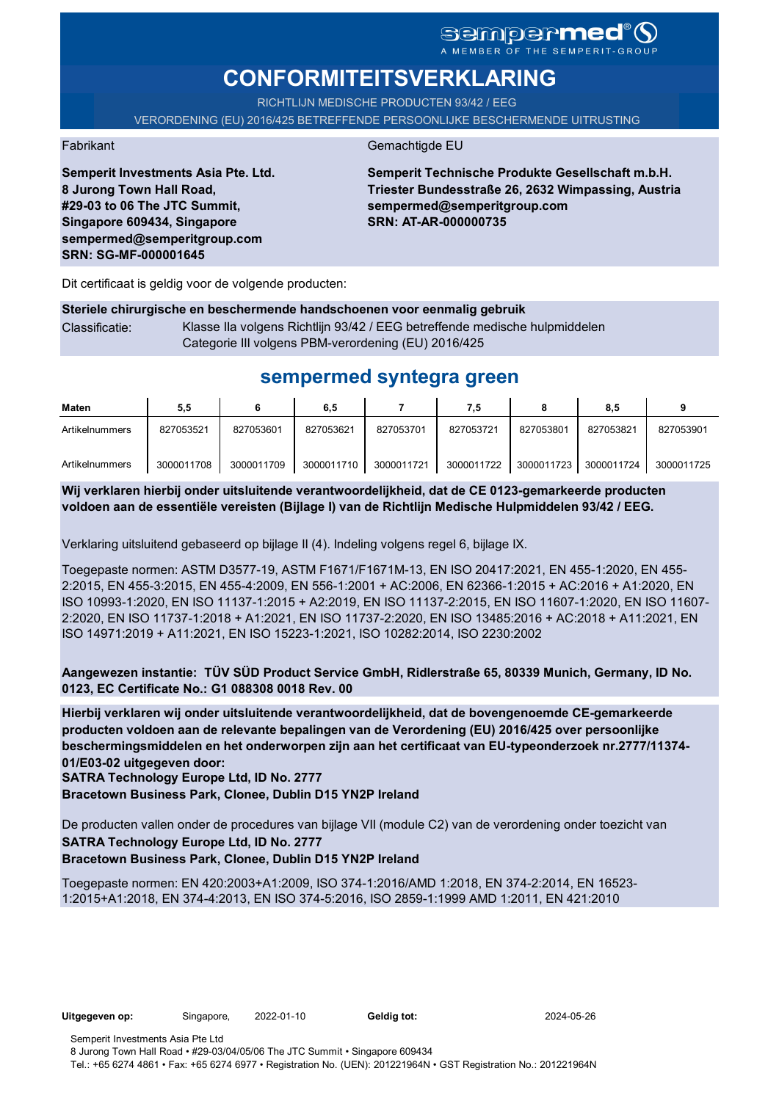### sempermed<sup>®</sup> () A MEMBER OF THE SEMPERIT-GROUP

# **CONFORMITEITSVERKLARING**

RICHTLIJN MEDISCHE PRODUCTEN 93/42 / EEG VERORDENING (EU) 2016/425 BETREFFENDE PERSOONLIJKE BESCHERMENDE UITRUSTING

Fabrikant Gemachtigde EU

**Semperit Investments Asia Pte. Ltd. 8 Jurong Town Hall Road, #29-03 to 06 The JTC Summit, Singapore 609434, Singapore sempermed@semperitgroup.com SRN: SG-MF-000001645**

**Semperit Technische Produkte Gesellschaft m.b.H. Triester Bundesstraße 26, 2632 Wimpassing, Austria sempermed@semperitgroup.com SRN: AT-AR-000000735**

Dit certificaat is geldig voor de volgende producten:

## **Steriele chirurgische en beschermende handschoenen voor eenmalig gebruik**

Classificatie: Klasse IIa volgens Richtlijn 93/42 / EEG betreffende medische hulpmiddelen Categorie III volgens PBM-verordening (EU) 2016/425

## **sempermed syntegra green**

| Maten          | 5,5        |            | 6,5        |            | 7.5        |            | 8.5        |            |
|----------------|------------|------------|------------|------------|------------|------------|------------|------------|
| Artikelnummers | 827053521  | 827053601  | 827053621  | 827053701  | 827053721  | 827053801  | 827053821  | 827053901  |
| Artikelnummers | 3000011708 | 3000011709 | 3000011710 | 3000011721 | 3000011722 | 3000011723 | 3000011724 | 3000011725 |

**Wij verklaren hierbij onder uitsluitende verantwoordelijkheid, dat de CE 0123-gemarkeerde producten voldoen aan de essentiële vereisten (Bijlage I) van de Richtlijn Medische Hulpmiddelen 93/42 / EEG.**

Verklaring uitsluitend gebaseerd op bijlage II (4). Indeling volgens regel 6, bijlage IX.

Toegepaste normen: ASTM D3577-19, ASTM F1671/F1671M-13, EN ISO 20417:2021, EN 455-1:2020, EN 455- 2:2015, EN 455-3:2015, EN 455-4:2009, EN 556-1:2001 + AC:2006, EN 62366-1:2015 + AC:2016 + A1:2020, EN ISO 10993-1:2020, EN ISO 11137-1:2015 + A2:2019, EN ISO 11137-2:2015, EN ISO 11607-1:2020, EN ISO 11607- 2:2020, EN ISO 11737-1:2018 + A1:2021, EN ISO 11737-2:2020, EN ISO 13485:2016 + AC:2018 + A11:2021, EN ISO 14971:2019 + A11:2021, EN ISO 15223-1:2021, ISO 10282:2014, ISO 2230:2002

**Aangewezen instantie: TÜV SÜD Product Service GmbH, Ridlerstraße 65, 80339 Munich, Germany, ID No. 0123, EC Certificate No.: G1 088308 0018 Rev. 00** 

**Hierbij verklaren wij onder uitsluitende verantwoordelijkheid, dat de bovengenoemde CE-gemarkeerde producten voldoen aan de relevante bepalingen van de Verordening (EU) 2016/425 over persoonlijke beschermingsmiddelen en het onderworpen zijn aan het certificaat van EU-typeonderzoek nr.2777/11374- 01/E03-02 uitgegeven door:**

**SATRA Technology Europe Ltd, ID No. 2777**

**Bracetown Business Park, Clonee, Dublin D15 YN2P Ireland**

De producten vallen onder de procedures van bijlage VII (module C2) van de verordening onder toezicht van **SATRA Technology Europe Ltd, ID No. 2777**

### **Bracetown Business Park, Clonee, Dublin D15 YN2P Ireland**

Toegepaste normen: EN 420:2003+A1:2009, ISO 374-1:2016/AMD 1:2018, EN 374-2:2014, EN 16523- 1:2015+A1:2018, EN 374-4:2013, EN ISO 374-5:2016, ISO 2859-1:1999 AMD 1:2011, EN 421:2010

Uitgegeven op: Singapore, 2022-01-10 Geldig tot:

2022-01-10 2024-05-26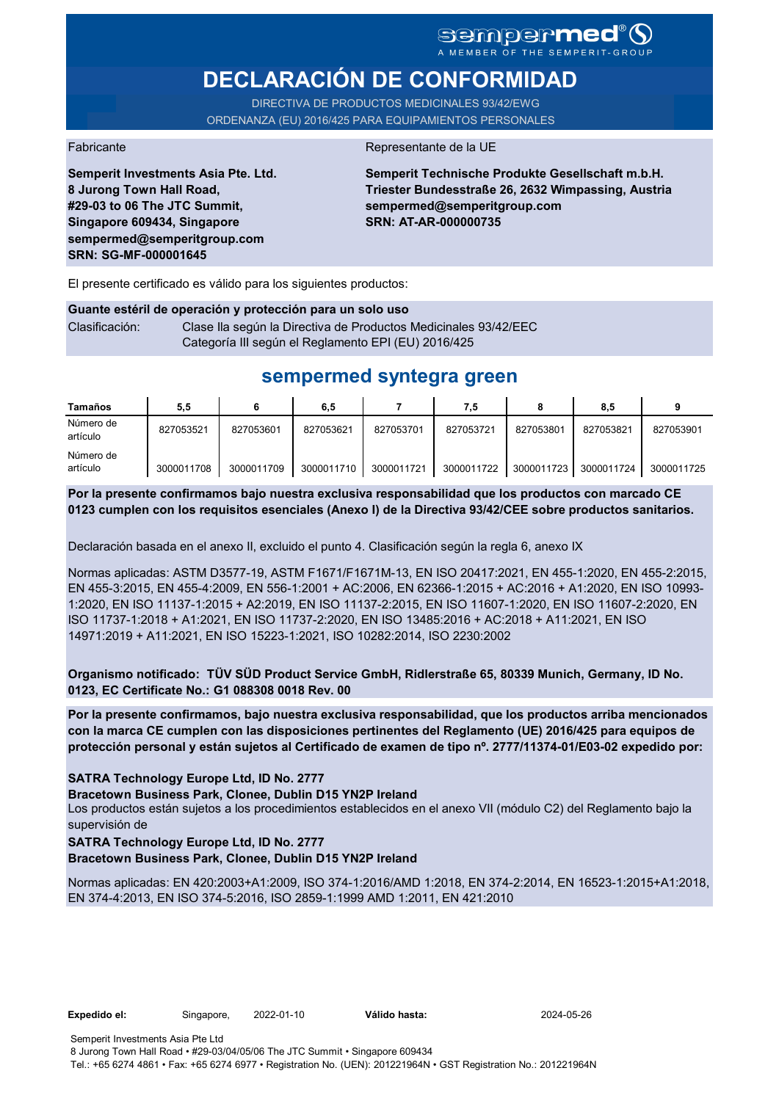# sempermed®9

# **DECLARACIÓN DE CONFORMIDAD**

DIRECTIVA DE PRODUCTOS MEDICINALES 93/42/EWG ORDENANZA (EU) 2016/425 PARA EQUIPAMIENTOS PERSONALES

Fabricante de la UE de la UE de la UE de la UE de la UE de la UE de la UE de la UE de la UE de la UE de la UE

**Semperit Investments Asia Pte. Ltd. 8 Jurong Town Hall Road, #29-03 to 06 The JTC Summit, Singapore 609434, Singapore sempermed@semperitgroup.com SRN: SG-MF-000001645**

**Semperit Technische Produkte Gesellschaft m.b.H. Triester Bundesstraße 26, 2632 Wimpassing, Austria sempermed@semperitgroup.com SRN: AT-AR-000000735**

El presente certificado es válido para los siguientes productos:

#### **Guante estéril de operación y protección para un solo uso**

Clasificación: Clase Ila según la Directiva de Productos Medicinales 93/42/EEC Categoría III según el Reglamento EPI (EU) 2016/425

## **sempermed syntegra green**

| <b>Tamaños</b>        | 5.5        |            | 6,5        |            | 7,5        |            | 8,5        |            |
|-----------------------|------------|------------|------------|------------|------------|------------|------------|------------|
| Número de<br>artículo | 827053521  | 827053601  | 827053621  | 827053701  | 827053721  | 827053801  | 827053821  | 827053901  |
| Número de<br>artículo | 3000011708 | 3000011709 | 3000011710 | 3000011721 | 3000011722 | 3000011723 | 3000011724 | 3000011725 |

**Por la presente confirmamos bajo nuestra exclusiva responsabilidad que los productos con marcado CE 0123 cumplen con los requisitos esenciales (Anexo I) de la Directiva 93/42/CEE sobre productos sanitarios.**

Declaración basada en el anexo II, excluido el punto 4. Clasificación según la regla 6, anexo IX

Normas aplicadas: ASTM D3577-19, ASTM F1671/F1671M-13, EN ISO 20417:2021, EN 455-1:2020, EN 455-2:2015, EN 455-3:2015, EN 455-4:2009, EN 556-1:2001 + AC:2006, EN 62366-1:2015 + AC:2016 + A1:2020, EN ISO 10993- 1:2020, EN ISO 11137-1:2015 + A2:2019, EN ISO 11137-2:2015, EN ISO 11607-1:2020, EN ISO 11607-2:2020, EN ISO 11737-1:2018 + A1:2021, EN ISO 11737-2:2020, EN ISO 13485:2016 + AC:2018 + A11:2021, EN ISO 14971:2019 + A11:2021, EN ISO 15223-1:2021, ISO 10282:2014, ISO 2230:2002

**Organismo notificado: TÜV SÜD Product Service GmbH, Ridlerstraße 65, 80339 Munich, Germany, ID No. 0123, EC Certificate No.: G1 088308 0018 Rev. 00** 

**Por la presente confirmamos, bajo nuestra exclusiva responsabilidad, que los productos arriba mencionados con la marca CE cumplen con las disposiciones pertinentes del Reglamento (UE) 2016/425 para equipos de protección personal y están sujetos al Certificado de examen de tipo nº. 2777/11374-01/E03-02 expedido por:**

### **SATRA Technology Europe Ltd, ID No. 2777**

**Bracetown Business Park, Clonee, Dublin D15 YN2P Ireland**

Los productos están sujetos a los procedimientos establecidos en el anexo VII (módulo C2) del Reglamento bajo la supervisión de

### **SATRA Technology Europe Ltd, ID No. 2777**

**Bracetown Business Park, Clonee, Dublin D15 YN2P Ireland**

Normas aplicadas: EN 420:2003+A1:2009, ISO 374-1:2016/AMD 1:2018, EN 374-2:2014, EN 16523-1:2015+A1:2018, EN 374-4:2013, EN ISO 374-5:2016, ISO 2859-1:1999 AMD 1:2011, EN 421:2010

**Expedido el:** Singapore, 2022-01-10

**Válido hasta:** 2024-05-26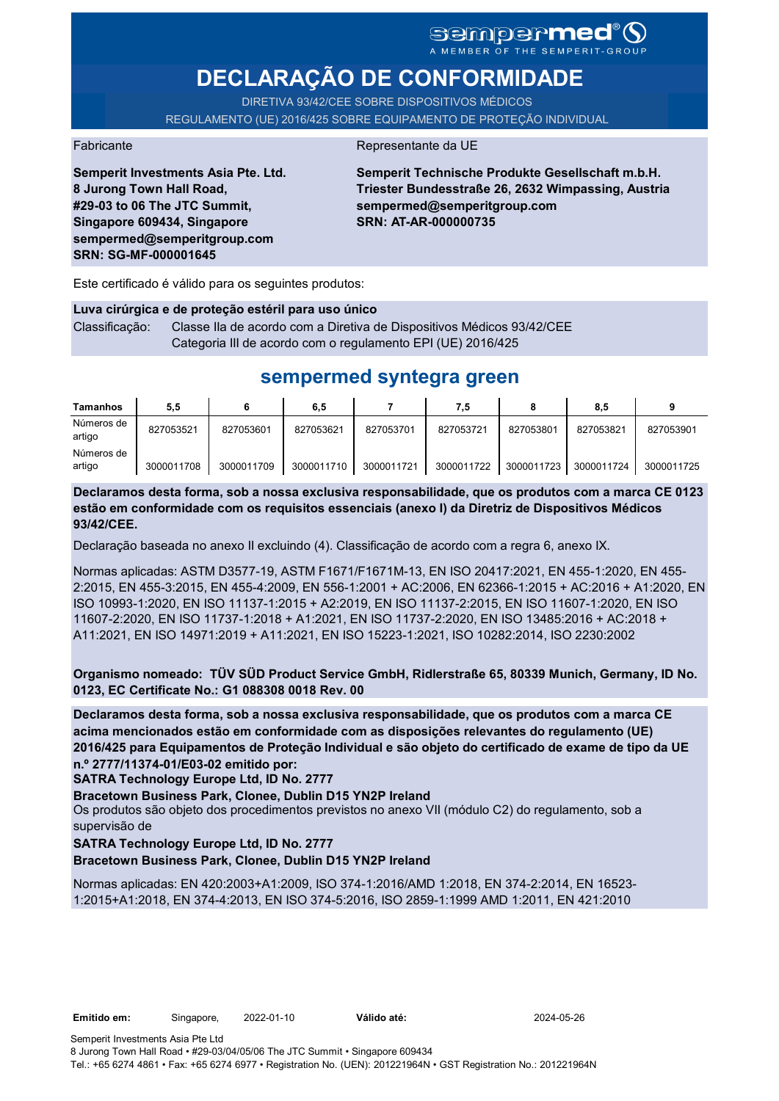## **sempermed®** A MEMBER OF THE SEMPERIT-GROUP

**DECLARAÇÃO DE CONFORMIDADE**

DIRETIVA 93/42/CEE SOBRE DISPOSITIVOS MÉDICOS REGULAMENTO (UE) 2016/425 SOBRE EQUIPAMENTO DE PROTEÇÃO INDIVIDUAL

Fabricante da UE

**Semperit Investments Asia Pte. Ltd. 8 Jurong Town Hall Road, #29-03 to 06 The JTC Summit, Singapore 609434, Singapore sempermed@semperitgroup.com SRN: SG-MF-000001645**

**Semperit Technische Produkte Gesellschaft m.b.H. Triester Bundesstraße 26, 2632 Wimpassing, Austria sempermed@semperitgroup.com SRN: AT-AR-000000735**

Este certificado é válido para os seguintes produtos:

#### **Luva cirúrgica e de proteção estéril para uso único**

Classificação: Classe IIa de acordo com a Diretiva de Dispositivos Médicos 93/42/CEE Categoria III de acordo com o regulamento EPI (UE) 2016/425

## **sempermed syntegra green**

| <b>Tamanhos</b>      | 5,5        |            | 6,5        |            | 7,5        |            | 8,5        |            |
|----------------------|------------|------------|------------|------------|------------|------------|------------|------------|
| Números de<br>artigo | 827053521  | 827053601  | 827053621  | 827053701  | 827053721  | 827053801  | 827053821  | 827053901  |
| Números de<br>artigo | 3000011708 | 3000011709 | 3000011710 | 3000011721 | 3000011722 | 3000011723 | 3000011724 | 3000011725 |

**Declaramos desta forma, sob a nossa exclusiva responsabilidade, que os produtos com a marca CE 0123 estão em conformidade com os requisitos essenciais (anexo I) da Diretriz de Dispositivos Médicos 93/42/CEE.**

Declaração baseada no anexo II excluindo (4). Classificação de acordo com a regra 6, anexo IX.

Normas aplicadas: ASTM D3577-19, ASTM F1671/F1671M-13, EN ISO 20417:2021, EN 455-1:2020, EN 455- 2:2015, EN 455-3:2015, EN 455-4:2009, EN 556-1:2001 + AC:2006, EN 62366-1:2015 + AC:2016 + A1:2020, EN ISO 10993-1:2020, EN ISO 11137-1:2015 + A2:2019, EN ISO 11137-2:2015, EN ISO 11607-1:2020, EN ISO 11607-2:2020, EN ISO 11737-1:2018 + A1:2021, EN ISO 11737-2:2020, EN ISO 13485:2016 + AC:2018 + A11:2021, EN ISO 14971:2019 + A11:2021, EN ISO 15223-1:2021, ISO 10282:2014, ISO 2230:2002

**Organismo nomeado: TÜV SÜD Product Service GmbH, Ridlerstraße 65, 80339 Munich, Germany, ID No. 0123, EC Certificate No.: G1 088308 0018 Rev. 00** 

**Declaramos desta forma, sob a nossa exclusiva responsabilidade, que os produtos com a marca CE acima mencionados estão em conformidade com as disposições relevantes do regulamento (UE) 2016/425 para Equipamentos de Proteção Individual e são objeto do certificado de exame de tipo da UE n.º 2777/11374-01/E03-02 emitido por:**

**SATRA Technology Europe Ltd, ID No. 2777**

**Bracetown Business Park, Clonee, Dublin D15 YN2P Ireland**

Os produtos são objeto dos procedimentos previstos no anexo VII (módulo C2) do regulamento, sob a supervisão de

### **SATRA Technology Europe Ltd, ID No. 2777**

**Bracetown Business Park, Clonee, Dublin D15 YN2P Ireland**

Normas aplicadas: EN 420:2003+A1:2009, ISO 374-1:2016/AMD 1:2018, EN 374-2:2014, EN 16523- 1:2015+A1:2018, EN 374-4:2013, EN ISO 374-5:2016, ISO 2859-1:1999 AMD 1:2011, EN 421:2010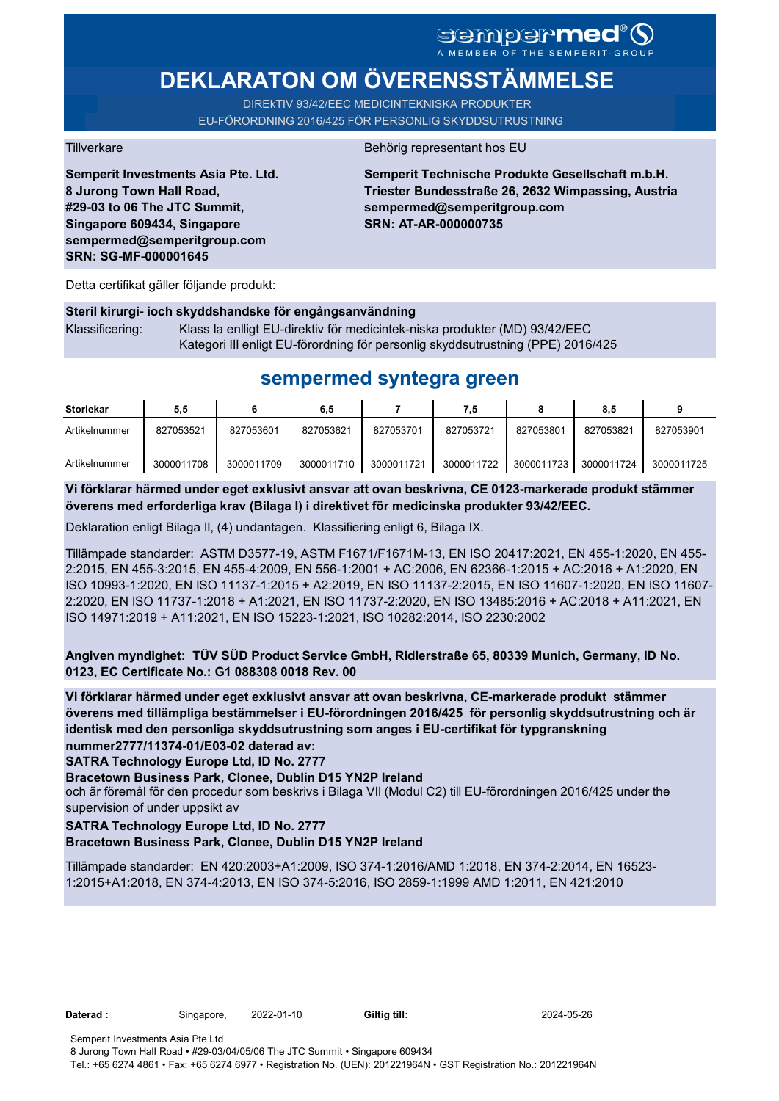**DEKLARATON OM ÖVERENSSTÄMMELSE** 

DIREkTIV 93/42/EEC MEDICINTEKNISKA PRODUKTER EU-FÖRORDNING 2016/425 FÖR PERSONLIG SKYDDSUTRUSTNING

**Semperit Investments Asia Pte. Ltd. 8 Jurong Town Hall Road, #29-03 to 06 The JTC Summit, Singapore 609434, Singapore sempermed@semperitgroup.com SRN: SG-MF-000001645**

#### Tillverkare Behörig representant hos EU

**Semperit Technische Produkte Gesellschaft m.b.H. Triester Bundesstraße 26, 2632 Wimpassing, Austria sempermed@semperitgroup.com SRN: AT-AR-000000735**

Detta certifikat gäller följande produkt:

#### **Steril kirurgi- ioch skyddshandske för engångsanvändning**

Klassificering: Klass Ia enlligt EU-direktiv för medicintek-niska produkter (MD) 93/42/EEC Kategori III enligt EU-förordning för personlig skyddsutrustning (PPE) 2016/425

## **sempermed syntegra green**

| <b>Storlekar</b> | 5.5        |            | 6,5        |            | 7.5        |            | 8.5        |            |
|------------------|------------|------------|------------|------------|------------|------------|------------|------------|
| Artikelnummer    | 827053521  | 827053601  | 827053621  | 827053701  | 827053721  | 827053801  | 827053821  | 827053901  |
| Artikelnummer    | 3000011708 | 3000011709 | 3000011710 | 3000011721 | 3000011722 | 3000011723 | 3000011724 | 3000011725 |

**Vi förklarar härmed under eget exklusivt ansvar att ovan beskrivna, CE 0123-markerade produkt stämmer överens med erforderliga krav (Bilaga I) i direktivet för medicinska produkter 93/42/EEC.**

Deklaration enligt Bilaga II, (4) undantagen. Klassifiering enligt 6, Bilaga IX.

Tillämpade standarder: ASTM D3577-19, ASTM F1671/F1671M-13, EN ISO 20417:2021, EN 455-1:2020, EN 455- 2:2015, EN 455-3:2015, EN 455-4:2009, EN 556-1:2001 + AC:2006, EN 62366-1:2015 + AC:2016 + A1:2020, EN ISO 10993-1:2020, EN ISO 11137-1:2015 + A2:2019, EN ISO 11137-2:2015, EN ISO 11607-1:2020, EN ISO 11607- 2:2020, EN ISO 11737-1:2018 + A1:2021, EN ISO 11737-2:2020, EN ISO 13485:2016 + AC:2018 + A11:2021, EN ISO 14971:2019 + A11:2021, EN ISO 15223-1:2021, ISO 10282:2014, ISO 2230:2002

**Angiven myndighet: TÜV SÜD Product Service GmbH, Ridlerstraße 65, 80339 Munich, Germany, ID No. 0123, EC Certificate No.: G1 088308 0018 Rev. 00** 

**Vi förklarar härmed under eget exklusivt ansvar att ovan beskrivna, CE-markerade produkt stämmer överens med tillämpliga bestämmelser i EU-förordningen 2016/425 för personlig skyddsutrustning och är identisk med den personliga skyddsutrustning som anges i EU-certifikat för typgranskning nummer2777/11374-01/E03-02 daterad av:**

**SATRA Technology Europe Ltd, ID No. 2777**

**Bracetown Business Park, Clonee, Dublin D15 YN2P Ireland**

och är föremål för den procedur som beskrivs i Bilaga VII (Modul C2) till EU-förordningen 2016/425 under the supervision of under uppsikt av

#### **SATRA Technology Europe Ltd, ID No. 2777**

#### **Bracetown Business Park, Clonee, Dublin D15 YN2P Ireland**

Tillämpade standarder: EN 420:2003+A1:2009, ISO 374-1:2016/AMD 1:2018, EN 374-2:2014, EN 16523- 1:2015+A1:2018, EN 374-4:2013, EN ISO 374-5:2016, ISO 2859-1:1999 AMD 1:2011, EN 421:2010

Giltig till: 2024-05-26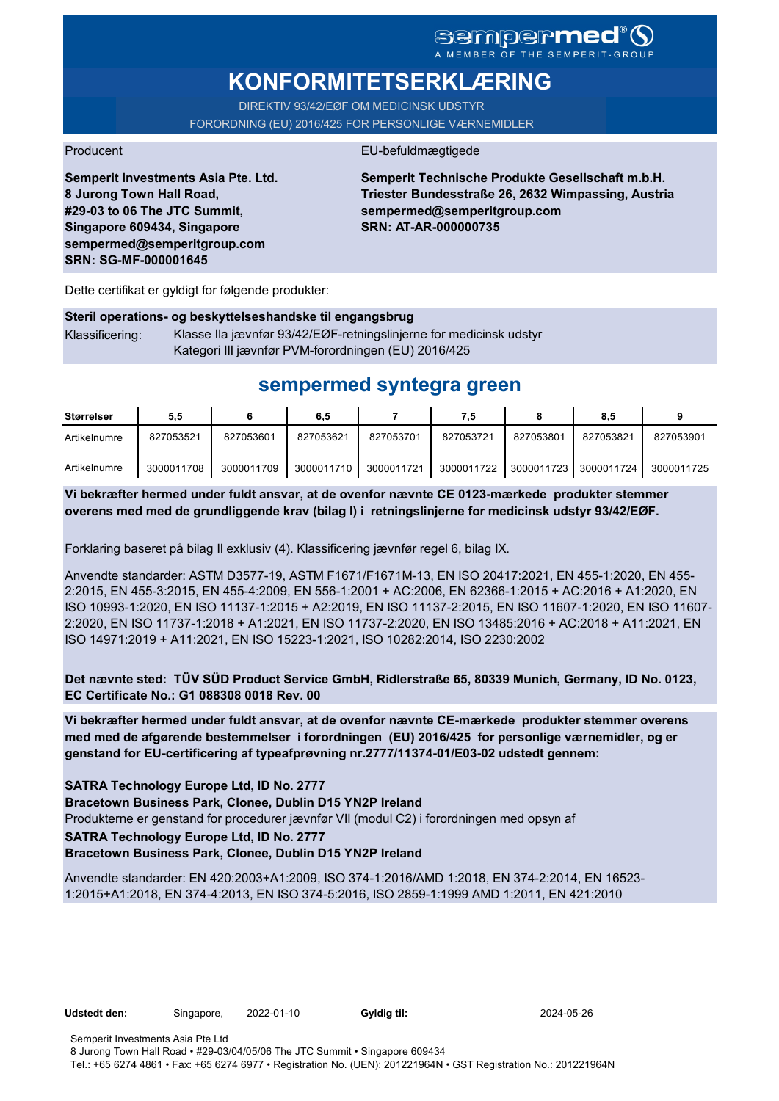# SGMDGP**MCC**<sup>®</sup>

# **KONFORMITETSERKLÆRING**

DIREKTIV 93/42/EØF OM MEDICINSK UDSTYR FORORDNING (EU) 2016/425 FOR PERSONLIGE VÆRNEMIDLER

#### Producent **EU-befuldmægtigede**

**Semperit Investments Asia Pte. Ltd. 8 Jurong Town Hall Road, #29-03 to 06 The JTC Summit, Singapore 609434, Singapore sempermed@semperitgroup.com SRN: SG-MF-000001645**

**Semperit Technische Produkte Gesellschaft m.b.H. Triester Bundesstraße 26, 2632 Wimpassing, Austria sempermed@semperitgroup.com SRN: AT-AR-000000735**

Dette certifikat er gyldigt for følgende produkter:

### **Steril operations- og beskyttelseshandske til engangsbrug** Klassificering: Klasse IIa jævnfør 93/42/EØF-retningslinjerne for medicinsk udstyr Kategori III jævnfør PVM-forordningen (EU) 2016/425

## **sempermed syntegra green**

| Størrelser   | 5.5        |            | 6,5        |            |            |            | 8.5        |            |
|--------------|------------|------------|------------|------------|------------|------------|------------|------------|
| Artikelnumre | 827053521  | 827053601  | 827053621  | 827053701  | 827053721  | 827053801  | 827053821  | 827053901  |
| Artikelnumre | 3000011708 | 3000011709 | 3000011710 | 3000011721 | 3000011722 | 3000011723 | 3000011724 | 3000011725 |

**Vi bekræfter hermed under fuldt ansvar, at de ovenfor nævnte CE 0123-mærkede produkter stemmer overens med med de grundliggende krav (bilag I) i retningslinjerne for medicinsk udstyr 93/42/EØF.**

Forklaring baseret på bilag II exklusiv (4). Klassificering jævnfør regel 6, bilag IX.

Anvendte standarder: ASTM D3577-19, ASTM F1671/F1671M-13, EN ISO 20417:2021, EN 455-1:2020, EN 455- 2:2015, EN 455-3:2015, EN 455-4:2009, EN 556-1:2001 + AC:2006, EN 62366-1:2015 + AC:2016 + A1:2020, EN ISO 10993-1:2020, EN ISO 11137-1:2015 + A2:2019, EN ISO 11137-2:2015, EN ISO 11607-1:2020, EN ISO 11607- 2:2020, EN ISO 11737-1:2018 + A1:2021, EN ISO 11737-2:2020, EN ISO 13485:2016 + AC:2018 + A11:2021, EN ISO 14971:2019 + A11:2021, EN ISO 15223-1:2021, ISO 10282:2014, ISO 2230:2002

**Det nævnte sted: TÜV SÜD Product Service GmbH, Ridlerstraße 65, 80339 Munich, Germany, ID No. 0123, EC Certificate No.: G1 088308 0018 Rev. 00** 

**Vi bekræfter hermed under fuldt ansvar, at de ovenfor nævnte CE-mærkede produkter stemmer overens med med de afgørende bestemmelser i forordningen (EU) 2016/425 for personlige værnemidler, og er genstand for EU-certificering af typeafprøvning nr.2777/11374-01/E03-02 udstedt gennem:**

**SATRA Technology Europe Ltd, ID No. 2777**

**Bracetown Business Park, Clonee, Dublin D15 YN2P Ireland**

Produkterne er genstand for procedurer jævnfør VII (modul C2) i forordningen med opsyn af

**SATRA Technology Europe Ltd, ID No. 2777**

**Bracetown Business Park, Clonee, Dublin D15 YN2P Ireland**

Anvendte standarder: EN 420:2003+A1:2009, ISO 374-1:2016/AMD 1:2018, EN 374-2:2014, EN 16523- 1:2015+A1:2018, EN 374-4:2013, EN ISO 374-5:2016, ISO 2859-1:1999 AMD 1:2011, EN 421:2010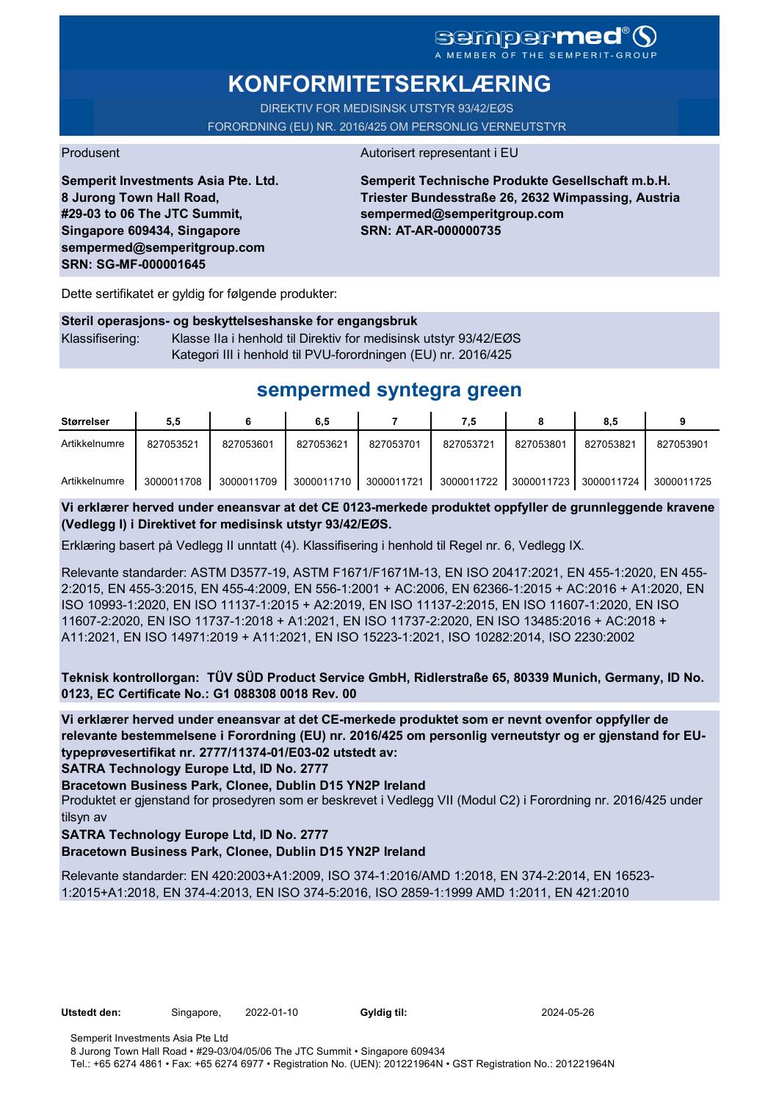# **KONFORMITETSERKLÆRING**

DIREKTIV FOR MEDISINSK UTSTYR 93/42/EØS FORORDNING (EU) NR. 2016/425 OM PERSONLIG VERNEUTSTYR

### Produsent Autorisert representant i EU

**Semperit Investments Asia Pte. Ltd. 8 Jurong Town Hall Road, #29-03 to 06 The JTC Summit, Singapore 609434, Singapore sempermed@semperitgroup.com SRN: SG-MF-000001645**

**Semperit Technische Produkte Gesellschaft m.b.H. Triester Bundesstraße 26, 2632 Wimpassing, Austria sempermed@semperitgroup.com SRN: AT-AR-000000735**

Dette sertifikatet er gyldig for følgende produkter:

### **Steril operasjons- og beskyttelseshanske for engangsbruk** Klassifisering: Klasse IIa i henhold til Direktiv for medisinsk utstyr 93/42/EØS Kategori III i henhold til PVU-forordningen (EU) nr. 2016/425

## **sempermed syntegra green**

| Størrelser    | 5,5        |            | 6,5        |            | 7,5        |            | 8,5        |            |
|---------------|------------|------------|------------|------------|------------|------------|------------|------------|
| Artikkelnumre | 827053521  | 827053601  | 827053621  | 827053701  | 827053721  | 827053801  | 827053821  | 827053901  |
| Artikkelnumre | 3000011708 | 3000011709 | 3000011710 | 3000011721 | 3000011722 | 3000011723 | 3000011724 | 3000011725 |

**Vi erklærer herved under eneansvar at det CE 0123-merkede produktet oppfyller de grunnleggende kravene (Vedlegg I) i Direktivet for medisinsk utstyr 93/42/EØS.**

Erklæring basert på Vedlegg II unntatt (4). Klassifisering i henhold til Regel nr. 6, Vedlegg IX.

Relevante standarder: ASTM D3577-19, ASTM F1671/F1671M-13, EN ISO 20417:2021, EN 455-1:2020, EN 455- 2:2015, EN 455-3:2015, EN 455-4:2009, EN 556-1:2001 + AC:2006, EN 62366-1:2015 + AC:2016 + A1:2020, EN ISO 10993-1:2020, EN ISO 11137-1:2015 + A2:2019, EN ISO 11137-2:2015, EN ISO 11607-1:2020, EN ISO 11607-2:2020, EN ISO 11737-1:2018 + A1:2021, EN ISO 11737-2:2020, EN ISO 13485:2016 + AC:2018 + A11:2021, EN ISO 14971:2019 + A11:2021, EN ISO 15223-1:2021, ISO 10282:2014, ISO 2230:2002

**Teknisk kontrollorgan: TÜV SÜD Product Service GmbH, Ridlerstraße 65, 80339 Munich, Germany, ID No. 0123, EC Certificate No.: G1 088308 0018 Rev. 00** 

**Vi erklærer herved under eneansvar at det CE-merkede produktet som er nevnt ovenfor oppfyller de relevante bestemmelsene i Forordning (EU) nr. 2016/425 om personlig verneutstyr og er gjenstand for EUtypeprøvesertifikat nr. 2777/11374-01/E03-02 utstedt av:**

**SATRA Technology Europe Ltd, ID No. 2777**

**Bracetown Business Park, Clonee, Dublin D15 YN2P Ireland**

Produktet er gjenstand for prosedyren som er beskrevet i Vedlegg VII (Modul C2) i Forordning nr. 2016/425 under tilsyn av

### **SATRA Technology Europe Ltd, ID No. 2777**

**Bracetown Business Park, Clonee, Dublin D15 YN2P Ireland**

Relevante standarder: EN 420:2003+A1:2009, ISO 374-1:2016/AMD 1:2018, EN 374-2:2014, EN 16523- 1:2015+A1:2018, EN 374-4:2013, EN ISO 374-5:2016, ISO 2859-1:1999 AMD 1:2011, EN 421:2010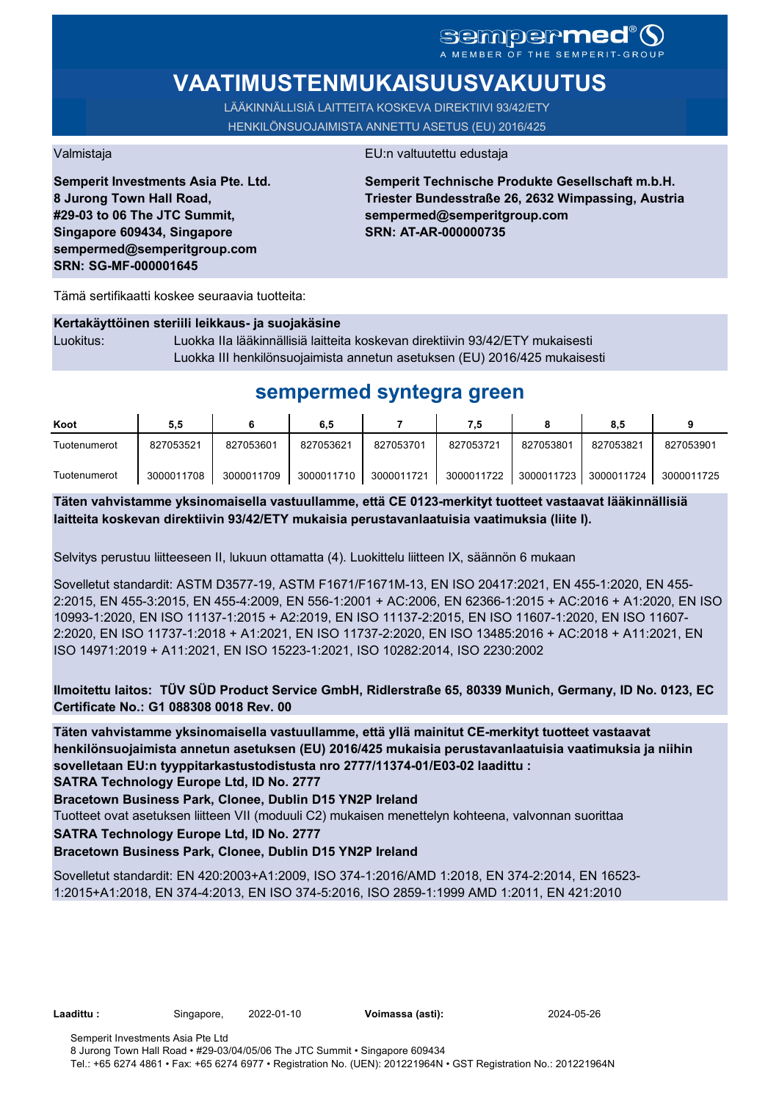# sempermed®

# **VAATIMUSTENMUKAISUUSVAKUUTUS**

LÄÄKINNÄLLISIÄ LAITTEITA KOSKEVA DIREKTIIVI 93/42/ETY HENKILÖNSUOJAIMISTA ANNETTU ASETUS (EU) 2016/425

**Semperit Investments Asia Pte. Ltd. 8 Jurong Town Hall Road, #29-03 to 06 The JTC Summit, Singapore 609434, Singapore sempermed@semperitgroup.com SRN: SG-MF-000001645**

#### Valmistaja EU:n valtuutettu edustaja

**Semperit Technische Produkte Gesellschaft m.b.H. Triester Bundesstraße 26, 2632 Wimpassing, Austria sempermed@semperitgroup.com SRN: AT-AR-000000735**

Tämä sertifikaatti koskee seuraavia tuotteita:

### **Kertakäyttöinen steriili leikkaus- ja suojakäsine**

Luokitus: Luokka IIa lääkinnällisiä laitteita koskevan direktiivin 93/42/ETY mukaisesti Luokka III henkilönsuojaimista annetun asetuksen (EU) 2016/425 mukaisesti

## **sempermed syntegra green**

| Koot         | 5,5        |            | 6,5        |            | 7.5        |            |            |            |
|--------------|------------|------------|------------|------------|------------|------------|------------|------------|
| Tuotenumerot | 827053521  | 827053601  | 827053621  | 827053701  | 827053721  | 827053801  | 827053821  | 827053901  |
| Tuotenumerot | 3000011708 | 3000011709 | 3000011710 | 3000011721 | 3000011722 | 3000011723 | 3000011724 | 3000011725 |

**Täten vahvistamme yksinomaisella vastuullamme, että CE 0123-merkityt tuotteet vastaavat lääkinnällisiä laitteita koskevan direktiivin 93/42/ETY mukaisia perustavanlaatuisia vaatimuksia (liite I).**

Selvitys perustuu liitteeseen II, lukuun ottamatta (4). Luokittelu liitteen IX, säännön 6 mukaan

Sovelletut standardit: ASTM D3577-19, ASTM F1671/F1671M-13, EN ISO 20417:2021, EN 455-1:2020, EN 455- 2:2015, EN 455-3:2015, EN 455-4:2009, EN 556-1:2001 + AC:2006, EN 62366-1:2015 + AC:2016 + A1:2020, EN ISO 10993-1:2020, EN ISO 11137-1:2015 + A2:2019, EN ISO 11137-2:2015, EN ISO 11607-1:2020, EN ISO 11607- 2:2020, EN ISO 11737-1:2018 + A1:2021, EN ISO 11737-2:2020, EN ISO 13485:2016 + AC:2018 + A11:2021, EN ISO 14971:2019 + A11:2021, EN ISO 15223-1:2021, ISO 10282:2014, ISO 2230:2002

**Ilmoitettu laitos: TÜV SÜD Product Service GmbH, Ridlerstraße 65, 80339 Munich, Germany, ID No. 0123, EC Certificate No.: G1 088308 0018 Rev. 00** 

**Täten vahvistamme yksinomaisella vastuullamme, että yllä mainitut CE-merkityt tuotteet vastaavat henkilönsuojaimista annetun asetuksen (EU) 2016/425 mukaisia perustavanlaatuisia vaatimuksia ja niihin sovelletaan EU:n tyyppitarkastustodistusta nro 2777/11374-01/E03-02 laadittu :**

**SATRA Technology Europe Ltd, ID No. 2777**

**Bracetown Business Park, Clonee, Dublin D15 YN2P Ireland**

Tuotteet ovat asetuksen liitteen VII (moduuli C2) mukaisen menettelyn kohteena, valvonnan suorittaa

#### **SATRA Technology Europe Ltd, ID No. 2777**

**Bracetown Business Park, Clonee, Dublin D15 YN2P Ireland**

Sovelletut standardit: EN 420:2003+A1:2009, ISO 374-1:2016/AMD 1:2018, EN 374-2:2014, EN 16523- 1:2015+A1:2018, EN 374-4:2013, EN ISO 374-5:2016, ISO 2859-1:1999 AMD 1:2011, EN 421:2010

**Laadittu :** Singapore, **Voimassa (asti):** 2022-01-10 2024-05-26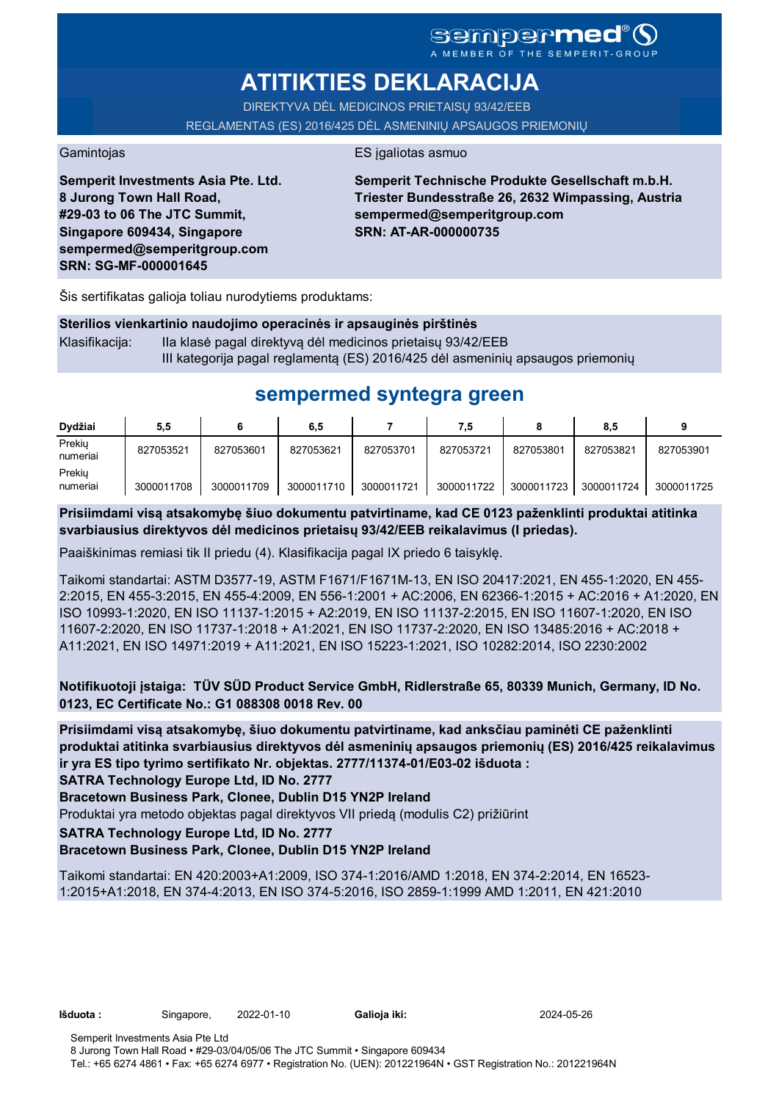## **Sempermed** MEMBER OF THE SEMPERIT-

# **ATITIKTIES DEKLARACIJA**

DIREKTYVA DĖL MEDICINOS PRIETAISŲ 93/42/EEB REGLAMENTAS (ES) 2016/425 DĖL ASMENINIŲ APSAUGOS PRIEMONIŲ

#### Gamintojas **ES** įgaliotas asmuo

**Semperit Investments Asia Pte. Ltd. 8 Jurong Town Hall Road, #29-03 to 06 The JTC Summit, Singapore 609434, Singapore sempermed@semperitgroup.com SRN: SG-MF-000001645**

**Semperit Technische Produkte Gesellschaft m.b.H. Triester Bundesstraße 26, 2632 Wimpassing, Austria sempermed@semperitgroup.com SRN: AT-AR-000000735**

Šis sertifikatas galioja toliau nurodytiems produktams:

### **Sterilios vienkartinio naudojimo operacinės ir apsauginės pirštinės**

Klasifikacija: Ila klasė pagal direktyvą dėl medicinos prietaisų 93/42/EEB III kategorija pagal reglamentą (ES) 2016/425 dėl asmeninių apsaugos priemonių

# **sempermed syntegra green**

| Dvdžiai            | 5,5        |            | 6,5        |            | 7,5        |            | 8,5        |            |
|--------------------|------------|------------|------------|------------|------------|------------|------------|------------|
| Prekiy<br>numeriai | 827053521  | 827053601  | 827053621  | 827053701  | 827053721  | 827053801  | 827053821  | 827053901  |
| Prekiu<br>numeriai | 3000011708 | 3000011709 | 3000011710 | 3000011721 | 3000011722 | 3000011723 | 3000011724 | 3000011725 |

**Prisiimdami visą atsakomybę šiuo dokumentu patvirtiname, kad CE 0123 paženklinti produktai atitinka svarbiausius direktyvos dėl medicinos prietaisų 93/42/EEB reikalavimus (I priedas).**

Paaiškinimas remiasi tik II priedu (4). Klasifikacija pagal IX priedo 6 taisyklę.

Taikomi standartai: ASTM D3577-19, ASTM F1671/F1671M-13, EN ISO 20417:2021, EN 455-1:2020, EN 455- 2:2015, EN 455-3:2015, EN 455-4:2009, EN 556-1:2001 + AC:2006, EN 62366-1:2015 + AC:2016 + A1:2020, EN ISO 10993-1:2020, EN ISO 11137-1:2015 + A2:2019, EN ISO 11137-2:2015, EN ISO 11607-1:2020, EN ISO 11607-2:2020, EN ISO 11737-1:2018 + A1:2021, EN ISO 11737-2:2020, EN ISO 13485:2016 + AC:2018 + A11:2021, EN ISO 14971:2019 + A11:2021, EN ISO 15223-1:2021, ISO 10282:2014, ISO 2230:2002

**Notifikuotoji įstaiga: TÜV SÜD Product Service GmbH, Ridlerstraße 65, 80339 Munich, Germany, ID No. 0123, EC Certificate No.: G1 088308 0018 Rev. 00** 

**Prisiimdami visą atsakomybę, šiuo dokumentu patvirtiname, kad anksčiau paminėti CE paženklinti produktai atitinka svarbiausius direktyvos dėl asmeninių apsaugos priemonių (ES) 2016/425 reikalavimus ir yra ES tipo tyrimo sertifikato Nr. objektas. 2777/11374-01/E03-02 išduota :**

**SATRA Technology Europe Ltd, ID No. 2777**

**Bracetown Business Park, Clonee, Dublin D15 YN2P Ireland**

Produktai yra metodo objektas pagal direktyvos VII priedą (modulis C2) prižiūrint

### **SATRA Technology Europe Ltd, ID No. 2777**

**Bracetown Business Park, Clonee, Dublin D15 YN2P Ireland**

Taikomi standartai: EN 420:2003+A1:2009, ISO 374-1:2016/AMD 1:2018, EN 374-2:2014, EN 16523- 1:2015+A1:2018, EN 374-4:2013, EN ISO 374-5:2016, ISO 2859-1:1999 AMD 1:2011, EN 421:2010

Galioia iki: 2024-05-26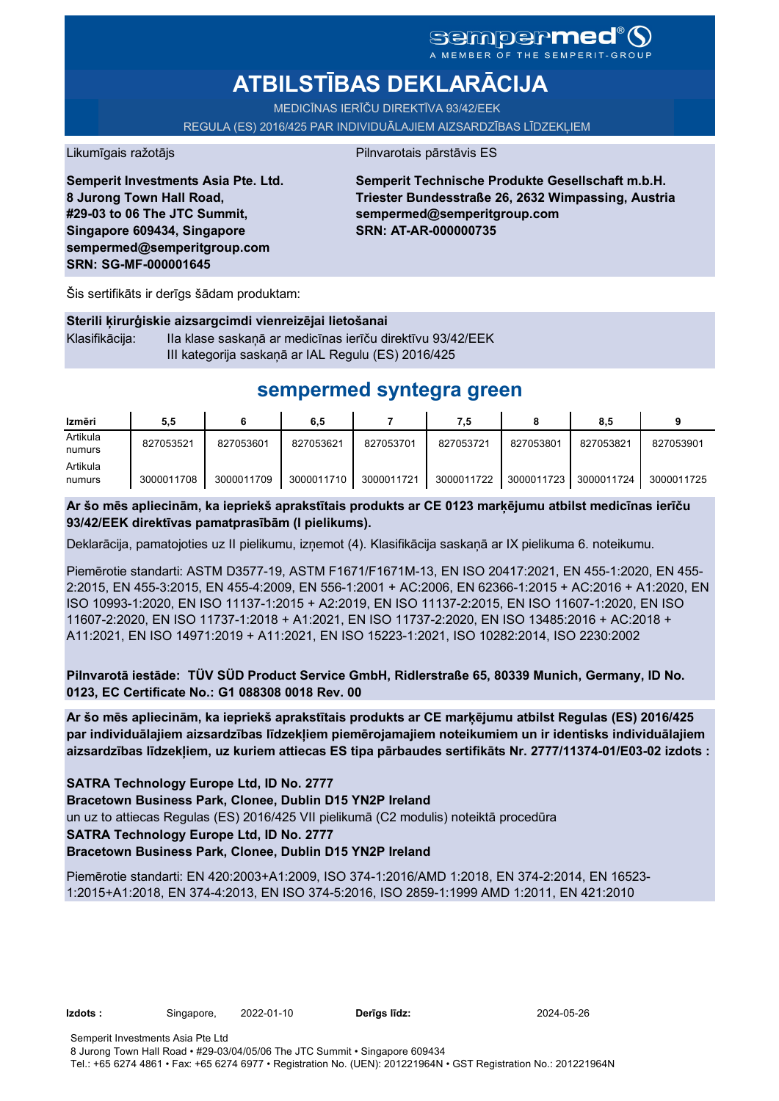# **ATBILSTĪBAS DEKLARĀCIJA**

MEDICĪNAS IERĪČU DIREKTĪVA 93/42/EEK REGULA (ES) 2016/425 PAR INDIVIDUĀLAJIEM AIZSARDZĪBAS LĪDZEKĻIEM

#### Likumīgais ražotājs **Pilnvarotais pārstāvis ES**

**Semperit Investments Asia Pte. Ltd. 8 Jurong Town Hall Road, #29-03 to 06 The JTC Summit, Singapore 609434, Singapore sempermed@semperitgroup.com SRN: SG-MF-000001645**

**Semperit Technische Produkte Gesellschaft m.b.H. Triester Bundesstraße 26, 2632 Wimpassing, Austria sempermed@semperitgroup.com SRN: AT-AR-000000735**

Šis sertifikāts ir derīgs šādam produktam:

#### **Sterili ķirurģiskie aizsargcimdi vienreizējai lietošanai** Klasifikācija: IIa klase saskaņā ar medicīnas ierīču direktīvu 93/42/EEK III kategorija saskaņā ar IAL Regulu (ES) 2016/425

## **sempermed syntegra green**

| Izmēri             | 5,5        |            | 6,5        |            | 7,5        |            | 8,5        |            |
|--------------------|------------|------------|------------|------------|------------|------------|------------|------------|
| Artikula<br>numurs | 827053521  | 827053601  | 827053621  | 827053701  | 827053721  | 827053801  | 827053821  | 827053901  |
| Artikula<br>numurs | 3000011708 | 3000011709 | 3000011710 | 3000011721 | 3000011722 | 3000011723 | 3000011724 | 3000011725 |

### **Ar šo mēs apliecinām, ka iepriekš aprakstītais produkts ar CE 0123 marķējumu atbilst medicīnas ierīču 93/42/EEK direktīvas pamatprasībām (I pielikums).**

Deklarācija, pamatojoties uz II pielikumu, izņemot (4). Klasifikācija saskaņā ar IX pielikuma 6. noteikumu.

Piemērotie standarti: ASTM D3577-19, ASTM F1671/F1671M-13, EN ISO 20417:2021, EN 455-1:2020, EN 455- 2:2015, EN 455-3:2015, EN 455-4:2009, EN 556-1:2001 + AC:2006, EN 62366-1:2015 + AC:2016 + A1:2020, EN ISO 10993-1:2020, EN ISO 11137-1:2015 + A2:2019, EN ISO 11137-2:2015, EN ISO 11607-1:2020, EN ISO 11607-2:2020, EN ISO 11737-1:2018 + A1:2021, EN ISO 11737-2:2020, EN ISO 13485:2016 + AC:2018 + A11:2021, EN ISO 14971:2019 + A11:2021, EN ISO 15223-1:2021, ISO 10282:2014, ISO 2230:2002

**Pilnvarotā iestāde: TÜV SÜD Product Service GmbH, Ridlerstraße 65, 80339 Munich, Germany, ID No. 0123, EC Certificate No.: G1 088308 0018 Rev. 00** 

**Ar šo mēs apliecinām, ka iepriekš aprakstītais produkts ar CE marķējumu atbilst Regulas (ES) 2016/425 par individuālajiem aizsardzības līdzekļiem piemērojamajiem noteikumiem un ir identisks individuālajiem aizsardzības līdzekļiem, uz kuriem attiecas ES tipa pārbaudes sertifikāts Nr. 2777/11374-01/E03-02 izdots :**

### **SATRA Technology Europe Ltd, ID No. 2777**

**Bracetown Business Park, Clonee, Dublin D15 YN2P Ireland**

un uz to attiecas Regulas (ES) 2016/425 VII pielikumā (C2 modulis) noteiktā procedūra

### **SATRA Technology Europe Ltd, ID No. 2777**

**Bracetown Business Park, Clonee, Dublin D15 YN2P Ireland**

Piemērotie standarti: EN 420:2003+A1:2009, ISO 374-1:2016/AMD 1:2018, EN 374-2:2014, EN 16523- 1:2015+A1:2018, EN 374-4:2013, EN ISO 374-5:2016, ISO 2859-1:1999 AMD 1:2011, EN 421:2010

**Derigs lidz:** 2024-05-26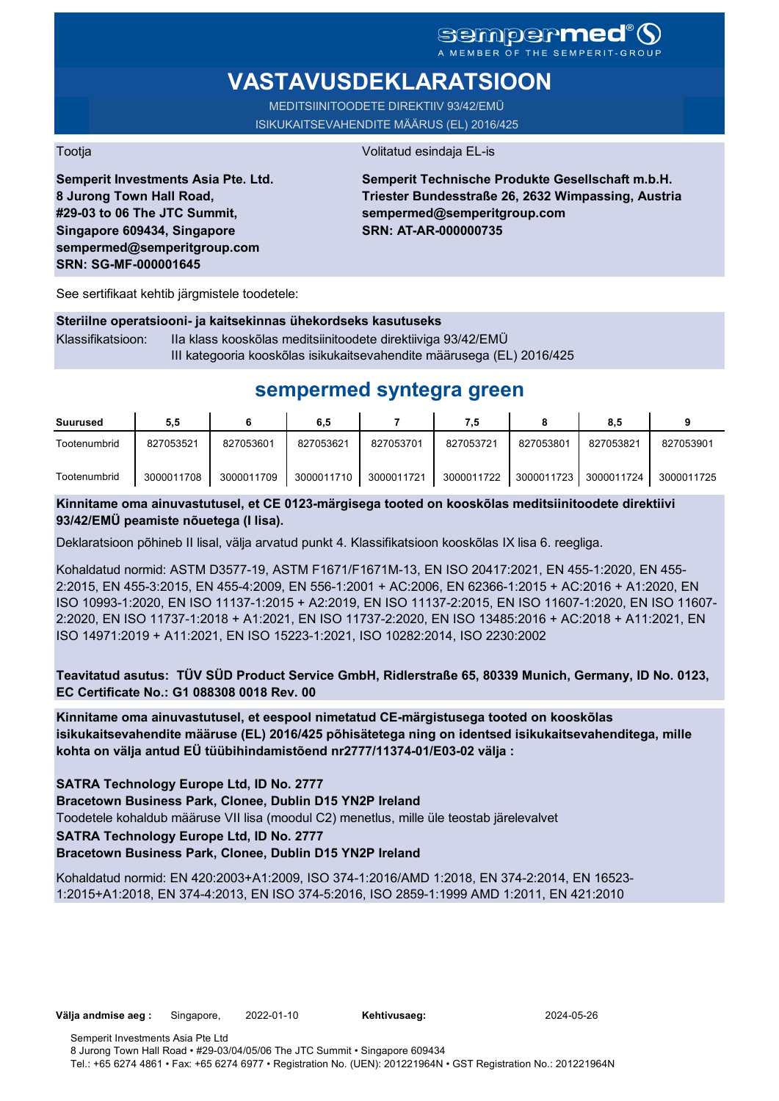### sempermed® A MEMBER OF THE SEMPERIT-GROUP

# **VASTAVUSDEKLARATSIOON**

MEDITSIINITOODETE DIREKTIIV 93/42/EMÜ ISIKUKAITSEVAHENDITE MÄÄRUS (EL) 2016/425

Tootja Volitatud esindaja EL-is

**Semperit Investments Asia Pte. Ltd. 8 Jurong Town Hall Road, #29-03 to 06 The JTC Summit, Singapore 609434, Singapore sempermed@semperitgroup.com SRN: SG-MF-000001645**

**Semperit Technische Produkte Gesellschaft m.b.H. Triester Bundesstraße 26, 2632 Wimpassing, Austria sempermed@semperitgroup.com SRN: AT-AR-000000735**

See sertifikaat kehtib järgmistele toodetele:

#### **Steriilne operatsiooni- ja kaitsekinnas ühekordseks kasutuseks**

Klassifikatsioon: IIa klass kooskõlas meditsiinitoodete direktiiviga 93/42/EMÜ III kategooria kooskõlas isikukaitsevahendite määrusega (EL) 2016/425

## **sempermed syntegra green**

| Suurused     | 5,5        |            | 6,5        |            | 7.5        |            | 8,5        |            |
|--------------|------------|------------|------------|------------|------------|------------|------------|------------|
| Tootenumbrid | 827053521  | 827053601  | 827053621  | 827053701  | 827053721  | 827053801  | 827053821  | 827053901  |
| Tootenumbrid | 3000011708 | 3000011709 | 3000011710 | 3000011721 | 3000011722 | 3000011723 | 3000011724 | 3000011725 |

### **Kinnitame oma ainuvastutusel, et CE 0123-märgisega tooted on kooskõlas meditsiinitoodete direktiivi 93/42/EMÜ peamiste nõuetega (I lisa).**

Deklaratsioon põhineb II lisal, välja arvatud punkt 4. Klassifikatsioon kooskõlas IX lisa 6. reegliga.

Kohaldatud normid: ASTM D3577-19, ASTM F1671/F1671M-13, EN ISO 20417:2021, EN 455-1:2020, EN 455- 2:2015, EN 455-3:2015, EN 455-4:2009, EN 556-1:2001 + AC:2006, EN 62366-1:2015 + AC:2016 + A1:2020, EN ISO 10993-1:2020, EN ISO 11137-1:2015 + A2:2019, EN ISO 11137-2:2015, EN ISO 11607-1:2020, EN ISO 11607- 2:2020, EN ISO 11737-1:2018 + A1:2021, EN ISO 11737-2:2020, EN ISO 13485:2016 + AC:2018 + A11:2021, EN ISO 14971:2019 + A11:2021, EN ISO 15223-1:2021, ISO 10282:2014, ISO 2230:2002

**Teavitatud asutus: TÜV SÜD Product Service GmbH, Ridlerstraße 65, 80339 Munich, Germany, ID No. 0123, EC Certificate No.: G1 088308 0018 Rev. 00** 

**Kinnitame oma ainuvastutusel, et eespool nimetatud CE-märgistusega tooted on kooskõlas isikukaitsevahendite määruse (EL) 2016/425 põhisätetega ning on identsed isikukaitsevahenditega, mille kohta on välja antud EÜ tüübihindamistõend nr2777/11374-01/E03-02 välja :**

### **SATRA Technology Europe Ltd, ID No. 2777**

**Bracetown Business Park, Clonee, Dublin D15 YN2P Ireland**

Toodetele kohaldub määruse VII lisa (moodul C2) menetlus, mille üle teostab järelevalvet

#### **SATRA Technology Europe Ltd, ID No. 2777**

**Bracetown Business Park, Clonee, Dublin D15 YN2P Ireland**

Kohaldatud normid: EN 420:2003+A1:2009, ISO 374-1:2016/AMD 1:2018, EN 374-2:2014, EN 16523- 1:2015+A1:2018, EN 374-4:2013, EN ISO 374-5:2016, ISO 2859-1:1999 AMD 1:2011, EN 421:2010

Kehtivusaeg: 2024-05-26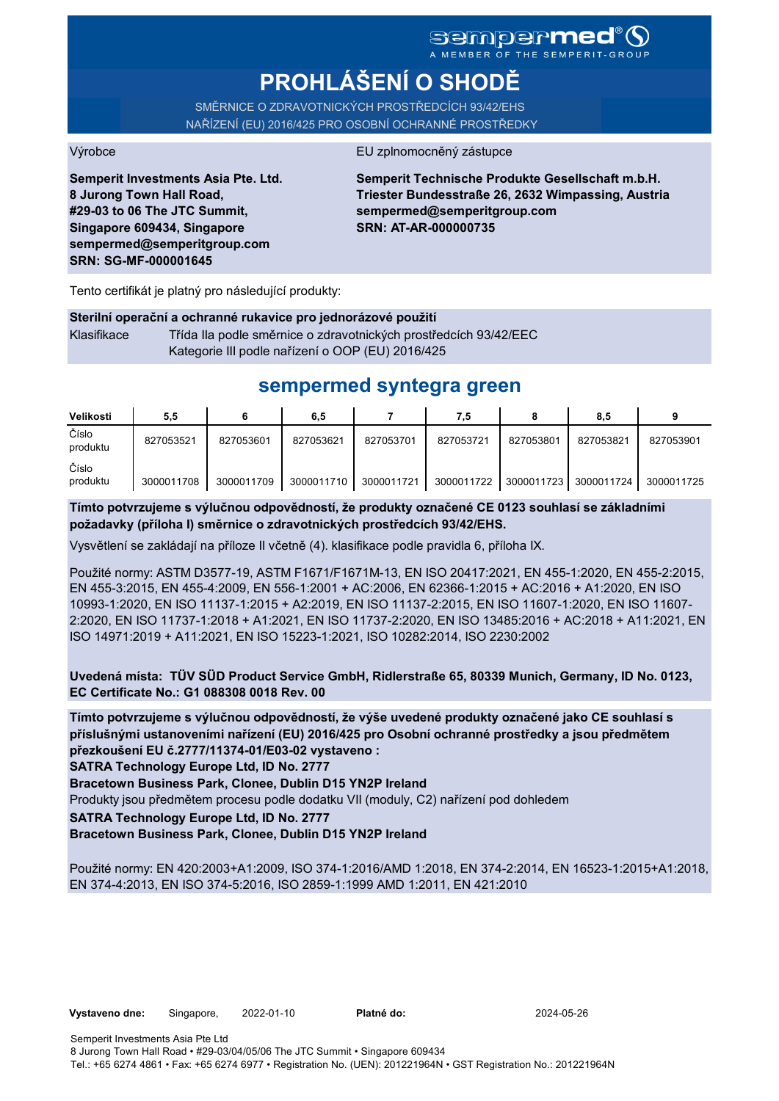# **Sempermer**

# **PROHLÁŠENÍ O SHODĚ**

SMĚRNICE O ZDRAVOTNICKÝCH PROSTŘEDCÍCH 93/42/EHS NAŘÍZENÍ (EU) 2016/425 PRO OSOBNÍ OCHRANNÉ PROSTŘEDKY

Výrobce EU zplnomocněný zástupce

**Semperit Investments Asia Pte. Ltd. 8 Jurong Town Hall Road, #29-03 to 06 The JTC Summit, Singapore 609434, Singapore sempermed@semperitgroup.com SRN: SG-MF-000001645**

**Semperit Technische Produkte Gesellschaft m.b.H. Triester Bundesstraße 26, 2632 Wimpassing, Austria sempermed@semperitgroup.com SRN: AT-AR-000000735**

Tento certifikát je platný pro následující produkty:

#### **Sterilní operační a ochranné rukavice pro jednorázové použití**

Klasifikace Třída IIa podle směrnice o zdravotnických prostředcích 93/42/EEC Kategorie III podle nařízení o OOP (EU) 2016/425

## **sempermed syntegra green**

| Velikosti         | 5,5        |            | 6.5        |            | 7,5        |            | 8,5        |            |
|-------------------|------------|------------|------------|------------|------------|------------|------------|------------|
| Číslo<br>produktu | 827053521  | 827053601  | 827053621  | 827053701  | 827053721  | 827053801  | 827053821  | 827053901  |
| Číslo<br>produktu | 3000011708 | 3000011709 | 3000011710 | 3000011721 | 3000011722 | 3000011723 | 3000011724 | 3000011725 |

**Tímto potvrzujeme s výlučnou odpovědností, že produkty označené CE 0123 souhlasí se základními požadavky (příloha I) směrnice o zdravotnických prostředcích 93/42/EHS.**

Vysvětlení se zakládají na příloze II včetně (4). klasifikace podle pravidla 6, příloha IX.

Použité normy: ASTM D3577-19, ASTM F1671/F1671M-13, EN ISO 20417:2021, EN 455-1:2020, EN 455-2:2015, EN 455-3:2015, EN 455-4:2009, EN 556-1:2001 + AC:2006, EN 62366-1:2015 + AC:2016 + A1:2020, EN ISO 10993-1:2020, EN ISO 11137-1:2015 + A2:2019, EN ISO 11137-2:2015, EN ISO 11607-1:2020, EN ISO 11607- 2:2020, EN ISO 11737-1:2018 + A1:2021, EN ISO 11737-2:2020, EN ISO 13485:2016 + AC:2018 + A11:2021, EN ISO 14971:2019 + A11:2021, EN ISO 15223-1:2021, ISO 10282:2014, ISO 2230:2002

**Uvedená místa: TÜV SÜD Product Service GmbH, Ridlerstraße 65, 80339 Munich, Germany, ID No. 0123, EC Certificate No.: G1 088308 0018 Rev. 00** 

**Tímto potvrzujeme s výlučnou odpovědností, že výše uvedené produkty označené jako CE souhlasí s příslušnými ustanoveními nařízení (EU) 2016/425 pro Osobní ochranné prostředky a jsou předmětem přezkoušení EU č.2777/11374-01/E03-02 vystaveno :**

**SATRA Technology Europe Ltd, ID No. 2777**

**Bracetown Business Park, Clonee, Dublin D15 YN2P Ireland**

Produkty jsou předmětem procesu podle dodatku VII (moduly, C2) nařízení pod dohledem

**SATRA Technology Europe Ltd, ID No. 2777**

**Bracetown Business Park, Clonee, Dublin D15 YN2P Ireland**

Použité normy: EN 420:2003+A1:2009, ISO 374-1:2016/AMD 1:2018, EN 374-2:2014, EN 16523-1:2015+A1:2018, EN 374-4:2013, EN ISO 374-5:2016, ISO 2859-1:1999 AMD 1:2011, EN 421:2010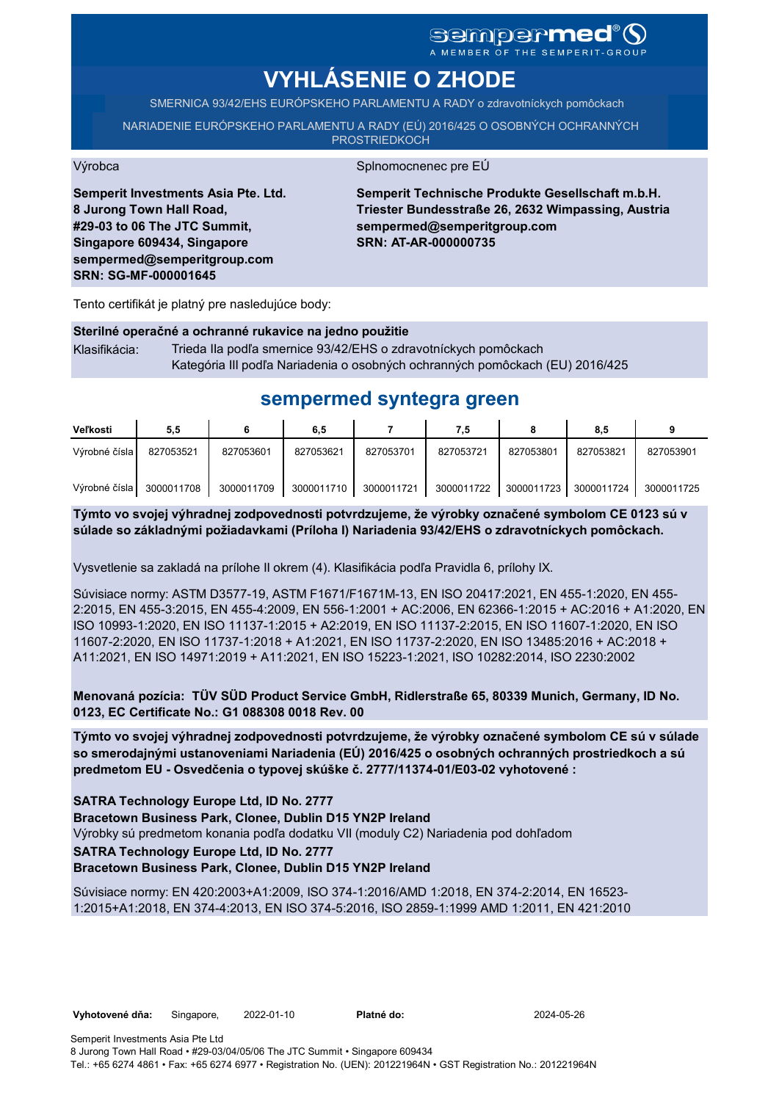# sempermed<sup>®</sup> ()

A MEMBER OF THE SEMPERIT-GROUP

# **VYHLÁSENIE O ZHODE**

SMERNICA 93/42/EHS EURÓPSKEHO PARLAMENTU A RADY o zdravotníckych pomôckach

NARIADENIE EURÓPSKEHO PARLAMENTU A RADY (EÚ) 2016/425 O OSOBNÝCH OCHRANNÝCH PROSTRIEDKOCH

#### Výrobca Splnomocnenec pre EÚ

**Semperit Investments Asia Pte. Ltd. 8 Jurong Town Hall Road, #29-03 to 06 The JTC Summit, Singapore 609434, Singapore sempermed@semperitgroup.com SRN: SG-MF-000001645**

**Semperit Technische Produkte Gesellschaft m.b.H. Triester Bundesstraße 26, 2632 Wimpassing, Austria sempermed@semperitgroup.com SRN: AT-AR-000000735**

Tento certifikát je platný pre nasledujúce body:

### **Sterilné operačné a ochranné rukavice na jedno použitie**

Klasifikácia: Trieda IIa podľa smernice 93/42/EHS o zdravotníckych pomôckach Kategória III podľa Nariadenia o osobných ochranných pomôckach (EU) 2016/425

## **sempermed syntegra green**

| Veľkosti        | 5,5        |            | 6.5        |            | 7,5        |            | 8,5        |            |
|-----------------|------------|------------|------------|------------|------------|------------|------------|------------|
| Výrobné čísla I | 827053521  | 827053601  | 827053621  | 827053701  | 827053721  | 827053801  | 827053821  | 827053901  |
| Výrobné čísla   | 3000011708 | 3000011709 | 3000011710 | 3000011721 | 3000011722 | 3000011723 | 3000011724 | 3000011725 |

**Týmto vo svojej výhradnej zodpovednosti potvrdzujeme, že výrobky označené symbolom CE 0123 sú v súlade so základnými požiadavkami (Príloha I) Nariadenia 93/42/EHS o zdravotníckych pomôckach.**

Vysvetlenie sa zakladá na prílohe II okrem (4). Klasifikácia podľa Pravidla 6, prílohy IX.

Súvisiace normy: ASTM D3577-19, ASTM F1671/F1671M-13, EN ISO 20417:2021, EN 455-1:2020, EN 455- 2:2015, EN 455-3:2015, EN 455-4:2009, EN 556-1:2001 + AC:2006, EN 62366-1:2015 + AC:2016 + A1:2020, EN ISO 10993-1:2020, EN ISO 11137-1:2015 + A2:2019, EN ISO 11137-2:2015, EN ISO 11607-1:2020, EN ISO 11607-2:2020, EN ISO 11737-1:2018 + A1:2021, EN ISO 11737-2:2020, EN ISO 13485:2016 + AC:2018 + A11:2021, EN ISO 14971:2019 + A11:2021, EN ISO 15223-1:2021, ISO 10282:2014, ISO 2230:2002

**Menovaná pozícia: TÜV SÜD Product Service GmbH, Ridlerstraße 65, 80339 Munich, Germany, ID No. 0123, EC Certificate No.: G1 088308 0018 Rev. 00** 

**Týmto vo svojej výhradnej zodpovednosti potvrdzujeme, že výrobky označené symbolom CE sú v súlade so smerodajnými ustanoveniami Nariadenia (EÚ) 2016/425 o osobných ochranných prostriedkoch a sú predmetom EU - Osvedčenia o typovej skúške č. 2777/11374-01/E03-02 vyhotovené :**

**SATRA Technology Europe Ltd, ID No. 2777**

**Bracetown Business Park, Clonee, Dublin D15 YN2P Ireland**

Výrobky sú predmetom konania podľa dodatku VII (moduly C2) Nariadenia pod dohľadom

**SATRA Technology Europe Ltd, ID No. 2777**

**Bracetown Business Park, Clonee, Dublin D15 YN2P Ireland**

Súvisiace normy: EN 420:2003+A1:2009, ISO 374-1:2016/AMD 1:2018, EN 374-2:2014, EN 16523- 1:2015+A1:2018, EN 374-4:2013, EN ISO 374-5:2016, ISO 2859-1:1999 AMD 1:2011, EN 421:2010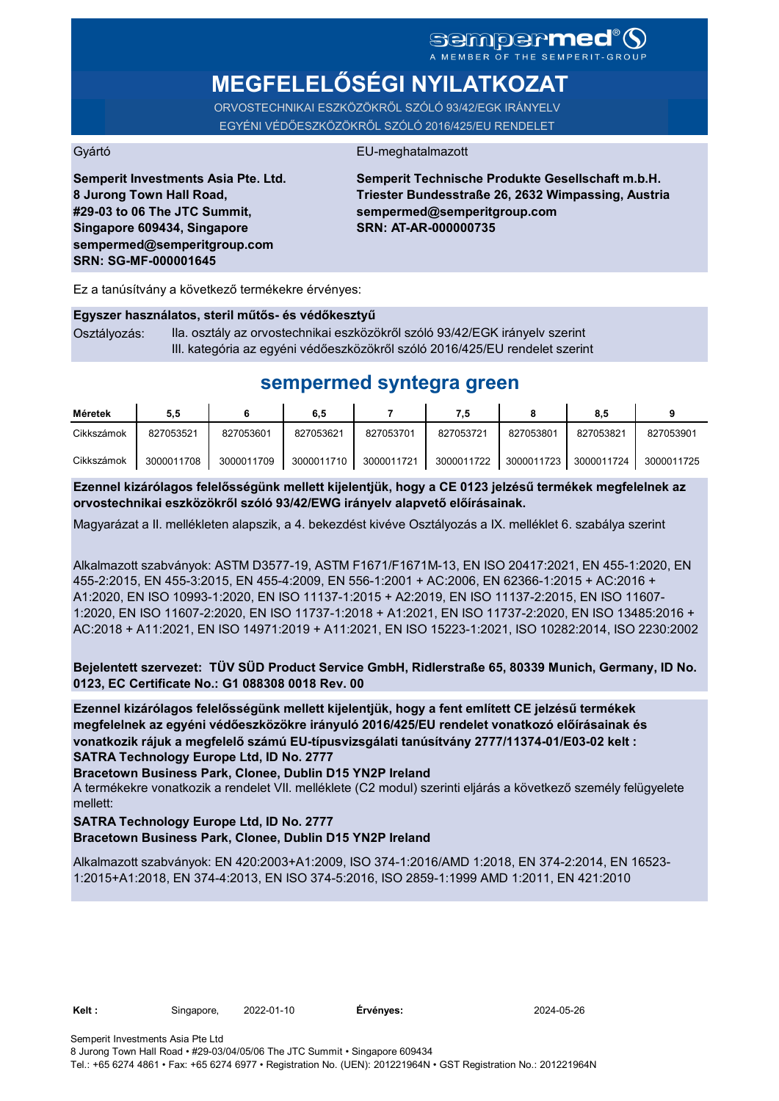# SGMDGPMEd<sup>®</sup>O

# **MEGFELELŐSÉGI NYILATKOZAT**

ORVOSTECHNIKAI ESZKÖZÖKRŐL SZÓLÓ 93/42/EGK IRÁNYELV EGYÉNI VÉDŐESZKÖZÖKRŐL SZÓLÓ 2016/425/EU RENDELET

#### Gyártó EU-meghatalmazott

**Semperit Investments Asia Pte. Ltd. 8 Jurong Town Hall Road, #29-03 to 06 The JTC Summit, Singapore 609434, Singapore sempermed@semperitgroup.com SRN: SG-MF-000001645**

**Semperit Technische Produkte Gesellschaft m.b.H. Triester Bundesstraße 26, 2632 Wimpassing, Austria sempermed@semperitgroup.com SRN: AT-AR-000000735**

Ez a tanúsítvány a következő termékekre érvényes:

#### **Egyszer használatos, steril műtős- és védőkesztyű**

Osztályozás: IIa. osztály az orvostechnikai eszközökről szóló 93/42/EGK irányelv szerint III. kategória az egyéni védőeszközökről szóló 2016/425/EU rendelet szerint

## **sempermed syntegra green**

| Méretek    | 5.5        |            | 6.5        |            | 7.5        |            | 8,5        |            |
|------------|------------|------------|------------|------------|------------|------------|------------|------------|
| Cikkszámok | 827053521  | 827053601  | 827053621  | 827053701  | 827053721  | 827053801  | 827053821  | 827053901  |
| Cikkszámok | 3000011708 | 3000011709 | 3000011710 | 3000011721 | 3000011722 | 3000011723 | 3000011724 | 3000011725 |

**Ezennel kizárólagos felelősségünk mellett kijelentjük, hogy a CE 0123 jelzésű termékek megfelelnek az orvostechnikai eszközökről szóló 93/42/EWG irányelv alapvető előírásainak.**

Magyarázat a II. mellékleten alapszik, a 4. bekezdést kivéve Osztályozás a IX. melléklet 6. szabálya szerint

Alkalmazott szabványok: ASTM D3577-19, ASTM F1671/F1671M-13, EN ISO 20417:2021, EN 455-1:2020, EN 455-2:2015, EN 455-3:2015, EN 455-4:2009, EN 556-1:2001 + AC:2006, EN 62366-1:2015 + AC:2016 + A1:2020, EN ISO 10993-1:2020, EN ISO 11137-1:2015 + A2:2019, EN ISO 11137-2:2015, EN ISO 11607- 1:2020, EN ISO 11607-2:2020, EN ISO 11737-1:2018 + A1:2021, EN ISO 11737-2:2020, EN ISO 13485:2016 + AC:2018 + A11:2021, EN ISO 14971:2019 + A11:2021, EN ISO 15223-1:2021, ISO 10282:2014, ISO 2230:2002

**Bejelentett szervezet: TÜV SÜD Product Service GmbH, Ridlerstraße 65, 80339 Munich, Germany, ID No. 0123, EC Certificate No.: G1 088308 0018 Rev. 00** 

**SATRA Technology Europe Ltd, ID No. 2777 Ezennel kizárólagos felelősségünk mellett kijelentjük, hogy a fent említett CE jelzésű termékek megfelelnek az egyéni védőeszközökre irányuló 2016/425/EU rendelet vonatkozó előírásainak és vonatkozik rájuk a megfelelő számú EU-típusvizsgálati tanúsítvány 2777/11374-01/E03-02 kelt :**

**Bracetown Business Park, Clonee, Dublin D15 YN2P Ireland**

A termékekre vonatkozik a rendelet VII. melléklete (C2 modul) szerinti eljárás a következő személy felügyelete mellett:

#### **SATRA Technology Europe Ltd, ID No. 2777 Bracetown Business Park, Clonee, Dublin D15 YN2P Ireland**

Alkalmazott szabványok: EN 420:2003+A1:2009, ISO 374-1:2016/AMD 1:2018, EN 374-2:2014, EN 16523- 1:2015+A1:2018, EN 374-4:2013, EN ISO 374-5:2016, ISO 2859-1:1999 AMD 1:2011, EN 421:2010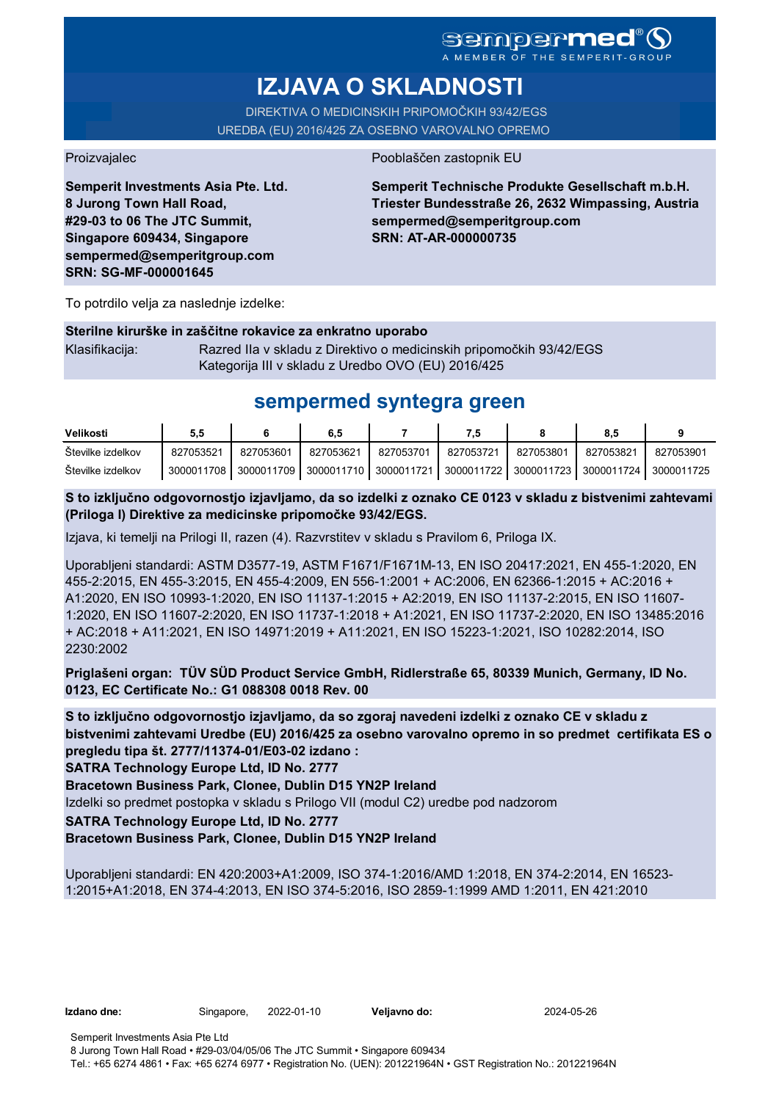A MEMBER OF THE SEMPERIT-GROUP

# **IZJAVA O SKLADNOSTI**

DIREKTIVA O MEDICINSKIH PRIPOMOČKIH 93/42/EGS UREDBA (EU) 2016/425 ZA OSEBNO VAROVALNO OPREMO

Proizvajalec Pooblaščen zastopnik EU

**Semperit Investments Asia Pte. Ltd. 8 Jurong Town Hall Road, #29-03 to 06 The JTC Summit, Singapore 609434, Singapore sempermed@semperitgroup.com SRN: SG-MF-000001645**

### **Semperit Technische Produkte Gesellschaft m.b.H. Triester Bundesstraße 26, 2632 Wimpassing, Austria sempermed@semperitgroup.com SRN: AT-AR-000000735**

To potrdilo velja za naslednje izdelke:

#### **Sterilne kirurške in zaščitne rokavice za enkratno uporabo**

Klasifikacija: Razred IIa v skladu z Direktivo o medicinskih pripomočkih 93/42/EGS Kategorija III v skladu z Uredbo OVO (EU) 2016/425

## **sempermed syntegra green**

| Velikosti         | 5.5        |            | 6.5       |           | ٠.                                          |           | 8.         |            |
|-------------------|------------|------------|-----------|-----------|---------------------------------------------|-----------|------------|------------|
| Stevilke izdelkov | 827053521  | 827053601  | 827053621 | 827053701 | 827053721                                   | 827053801 | 827053821  | 827053901  |
| Stevilke izdelkov | 3000011708 | 3000011709 |           |           | 3000011710 3000011721 3000011722 3000011723 |           | 3000011724 | 3000011725 |

**S to izključno odgovornostjo izjavljamo, da so izdelki z oznako CE 0123 v skladu z bistvenimi zahtevami (Priloga I) Direktive za medicinske pripomočke 93/42/EGS.**

Izjava, ki temelji na Prilogi II, razen (4). Razvrstitev v skladu s Pravilom 6, Priloga IX.

Uporabljeni standardi: ASTM D3577-19, ASTM F1671/F1671M-13, EN ISO 20417:2021, EN 455-1:2020, EN 455-2:2015, EN 455-3:2015, EN 455-4:2009, EN 556-1:2001 + AC:2006, EN 62366-1:2015 + AC:2016 + A1:2020, EN ISO 10993-1:2020, EN ISO 11137-1:2015 + A2:2019, EN ISO 11137-2:2015, EN ISO 11607- 1:2020, EN ISO 11607-2:2020, EN ISO 11737-1:2018 + A1:2021, EN ISO 11737-2:2020, EN ISO 13485:2016 + AC:2018 + A11:2021, EN ISO 14971:2019 + A11:2021, EN ISO 15223-1:2021, ISO 10282:2014, ISO 2230:2002

**Priglašeni organ: TÜV SÜD Product Service GmbH, Ridlerstraße 65, 80339 Munich, Germany, ID No. 0123, EC Certificate No.: G1 088308 0018 Rev. 00** 

**S to izključno odgovornostjo izjavljamo, da so zgoraj navedeni izdelki z oznako CE v skladu z bistvenimi zahtevami Uredbe (EU) 2016/425 za osebno varovalno opremo in so predmet certifikata ES o pregledu tipa št. 2777/11374-01/E03-02 izdano :**

**SATRA Technology Europe Ltd, ID No. 2777**

**Bracetown Business Park, Clonee, Dublin D15 YN2P Ireland**

Izdelki so predmet postopka v skladu s Prilogo VII (modul C2) uredbe pod nadzorom

**SATRA Technology Europe Ltd, ID No. 2777**

**Bracetown Business Park, Clonee, Dublin D15 YN2P Ireland**

Uporabljeni standardi: EN 420:2003+A1:2009, ISO 374-1:2016/AMD 1:2018, EN 374-2:2014, EN 16523- 1:2015+A1:2018, EN 374-4:2013, EN ISO 374-5:2016, ISO 2859-1:1999 AMD 1:2011, EN 421:2010

**Izdano dne:** Singapore, 2022-01-10 **Veljavno do:** 2024-05-26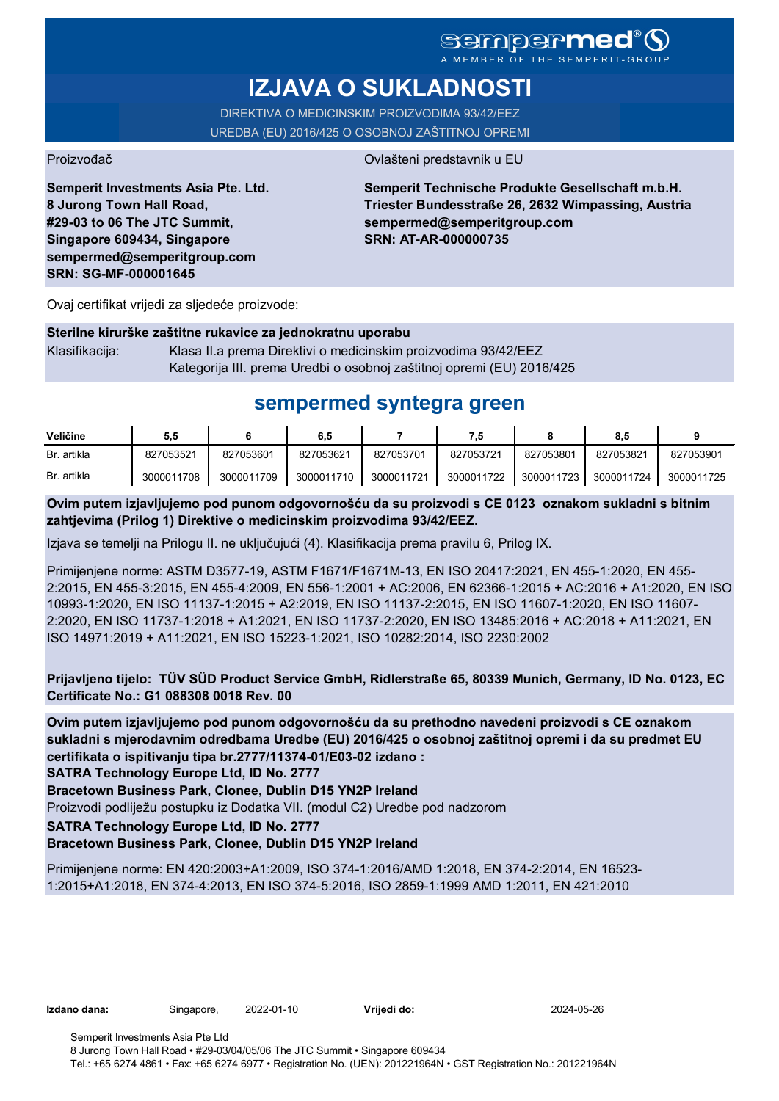## Sempermer A MEMBER OF THE SEMPERIT-GROUP

# **IZJAVA O SUKLADNOSTI**

DIREKTIVA O MEDICINSKIM PROIZVODIMA 93/42/EEZ UREDBA (EU) 2016/425 O OSOBNOJ ZAŠTITNOJ OPREMI

Proizvođač **Ovlašteni predstavnik u EU** 

**Semperit Investments Asia Pte. Ltd. 8 Jurong Town Hall Road, #29-03 to 06 The JTC Summit, Singapore 609434, Singapore sempermed@semperitgroup.com SRN: SG-MF-000001645**

**Semperit Technische Produkte Gesellschaft m.b.H. Triester Bundesstraße 26, 2632 Wimpassing, Austria sempermed@semperitgroup.com SRN: AT-AR-000000735**

Ovaj certifikat vrijedi za sljedeće proizvode:

|                | Sterilne kirurške zaštitne rukavice za jednokratnu uporabu            |
|----------------|-----------------------------------------------------------------------|
| Klasifikacija: | Klasa II.a prema Direktivi o medicinskim proizvodima 93/42/EEZ        |
|                | Kategorija III. prema Uredbi o osobnoj zaštitnoj opremi (EU) 2016/425 |

# **sempermed syntegra green**

| Veličine    | 5,5        |            | 6,5        |            | 7.5        |            | 8.5        |            |
|-------------|------------|------------|------------|------------|------------|------------|------------|------------|
| Br. artikla | 827053521  | 827053601  | 827053621  | 827053701  | 827053721  | 827053801  | 827053821  | 827053901  |
| Br. artikla | 3000011708 | 3000011709 | 3000011710 | 3000011721 | 3000011722 | 3000011723 | 3000011724 | 3000011725 |

**Ovim putem izjavljujemo pod punom odgovornošću da su proizvodi s CE 0123 oznakom sukladni s bitnim zahtjevima (Prilog 1) Direktive o medicinskim proizvodima 93/42/EEZ.**

Izjava se temelji na Prilogu II. ne uključujući (4). Klasifikacija prema pravilu 6, Prilog IX.

Primijenjene norme: ASTM D3577-19, ASTM F1671/F1671M-13, EN ISO 20417:2021, EN 455-1:2020, EN 455- 2:2015, EN 455-3:2015, EN 455-4:2009, EN 556-1:2001 + AC:2006, EN 62366-1:2015 + AC:2016 + A1:2020, EN ISO 10993-1:2020, EN ISO 11137-1:2015 + A2:2019, EN ISO 11137-2:2015, EN ISO 11607-1:2020, EN ISO 11607- 2:2020, EN ISO 11737-1:2018 + A1:2021, EN ISO 11737-2:2020, EN ISO 13485:2016 + AC:2018 + A11:2021, EN ISO 14971:2019 + A11:2021, EN ISO 15223-1:2021, ISO 10282:2014, ISO 2230:2002

**Prijavljeno tijelo: TÜV SÜD Product Service GmbH, Ridlerstraße 65, 80339 Munich, Germany, ID No. 0123, EC Certificate No.: G1 088308 0018 Rev. 00** 

**Ovim putem izjavljujemo pod punom odgovornošću da su prethodno navedeni proizvodi s CE oznakom sukladni s mjerodavnim odredbama Uredbe (EU) 2016/425 o osobnoj zaštitnoj opremi i da su predmet EU certifikata o ispitivanju tipa br.2777/11374-01/E03-02 izdano :**

**SATRA Technology Europe Ltd, ID No. 2777**

**Bracetown Business Park, Clonee, Dublin D15 YN2P Ireland**

Proizvodi podliježu postupku iz Dodatka VII. (modul C2) Uredbe pod nadzorom

**SATRA Technology Europe Ltd, ID No. 2777**

**Bracetown Business Park, Clonee, Dublin D15 YN2P Ireland**

Primijenjene norme: EN 420:2003+A1:2009, ISO 374-1:2016/AMD 1:2018, EN 374-2:2014, EN 16523- 1:2015+A1:2018, EN 374-4:2013, EN ISO 374-5:2016, ISO 2859-1:1999 AMD 1:2011, EN 421:2010

**Izdano dana:** Singapore, 2022-01-10 **Vrijedi do:** 

2022-01-10 2024-05-26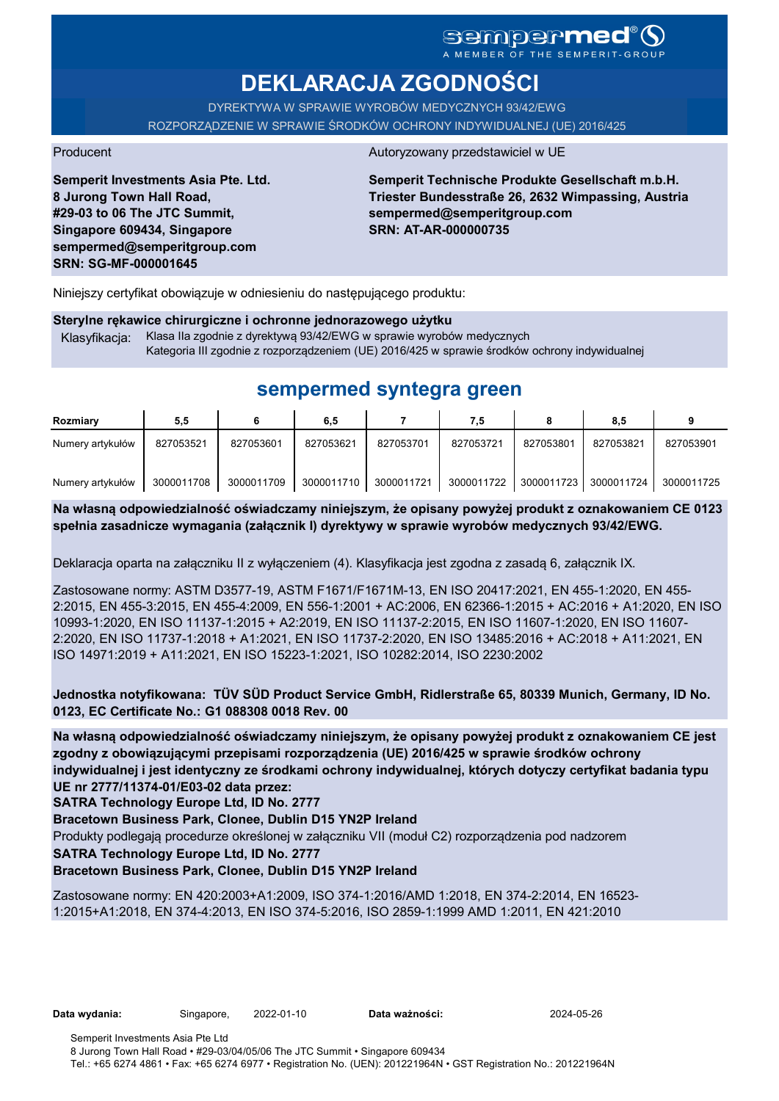# **DEKLARACJA ZGODNOŚCI**

DYREKTYWA W SPRAWIE WYROBÓW MEDYCZNYCH 93/42/EWG ROZPORZĄDZENIE W SPRAWIE ŚRODKÓW OCHRONY INDYWIDUALNEJ (UE) 2016/425

**Semperit Investments Asia Pte. Ltd. 8 Jurong Town Hall Road, #29-03 to 06 The JTC Summit, Singapore 609434, Singapore sempermed@semperitgroup.com SRN: SG-MF-000001645**

#### Producent Autoryzowany przedstawiciel w UE

**Semperit Technische Produkte Gesellschaft m.b.H. Triester Bundesstraße 26, 2632 Wimpassing, Austria sempermed@semperitgroup.com SRN: AT-AR-000000735**

Niniejszy certyfikat obowiązuje w odniesieniu do następującego produktu:

#### **Sterylne rękawice chirurgiczne i ochronne jednorazowego użytku**

Klasyfikacja: Klasa IIa zgodnie z dyrektywą 93/42/EWG w sprawie wyrobów medycznych Kategoria III zgodnie z rozporządzeniem (UE) 2016/425 w sprawie środków ochrony indywidualnej

## **sempermed syntegra green**

| Rozmiary         | 5,5        |            | 6.5        |            | 7,5        |            | 8.5        |            |
|------------------|------------|------------|------------|------------|------------|------------|------------|------------|
| Numery artykułów | 827053521  | 827053601  | 827053621  | 827053701  | 827053721  | 827053801  | 827053821  | 827053901  |
| Numery artykułów | 3000011708 | 3000011709 | 3000011710 | 3000011721 | 3000011722 | 3000011723 | 3000011724 | 3000011725 |

**Na własną odpowiedzialność oświadczamy niniejszym, że opisany powyżej produkt z oznakowaniem CE 0123 spełnia zasadnicze wymagania (załącznik I) dyrektywy w sprawie wyrobów medycznych 93/42/EWG.**

Deklaracja oparta na załączniku II z wyłączeniem (4). Klasyfikacja jest zgodna z zasadą 6, załącznik IX.

Zastosowane normy: ASTM D3577-19, ASTM F1671/F1671M-13, EN ISO 20417:2021, EN 455-1:2020, EN 455- 2:2015, EN 455-3:2015, EN 455-4:2009, EN 556-1:2001 + AC:2006, EN 62366-1:2015 + AC:2016 + A1:2020, EN ISO 10993-1:2020, EN ISO 11137-1:2015 + A2:2019, EN ISO 11137-2:2015, EN ISO 11607-1:2020, EN ISO 11607- 2:2020, EN ISO 11737-1:2018 + A1:2021, EN ISO 11737-2:2020, EN ISO 13485:2016 + AC:2018 + A11:2021, EN ISO 14971:2019 + A11:2021, EN ISO 15223-1:2021, ISO 10282:2014, ISO 2230:2002

**Jednostka notyfikowana: TÜV SÜD Product Service GmbH, Ridlerstraße 65, 80339 Munich, Germany, ID No. 0123, EC Certificate No.: G1 088308 0018 Rev. 00** 

**Na własną odpowiedzialność oświadczamy niniejszym, że opisany powyżej produkt z oznakowaniem CE jest zgodny z obowiązującymi przepisami rozporządzenia (UE) 2016/425 w sprawie środków ochrony indywidualnej i jest identyczny ze środkami ochrony indywidualnej, których dotyczy certyfikat badania typu UE nr 2777/11374-01/E03-02 data przez:**

**SATRA Technology Europe Ltd, ID No. 2777**

**Bracetown Business Park, Clonee, Dublin D15 YN2P Ireland**

Produkty podlegają procedurze określonej w załączniku VII (moduł C2) rozporządzenia pod nadzorem

**SATRA Technology Europe Ltd, ID No. 2777**

### **Bracetown Business Park, Clonee, Dublin D15 YN2P Ireland**

Zastosowane normy: EN 420:2003+A1:2009, ISO 374-1:2016/AMD 1:2018, EN 374-2:2014, EN 16523- 1:2015+A1:2018, EN 374-4:2013, EN ISO 374-5:2016, ISO 2859-1:1999 AMD 1:2011, EN 421:2010

Data wydania: Singapore, 2022-01-10

Data ważności: 2024-05-26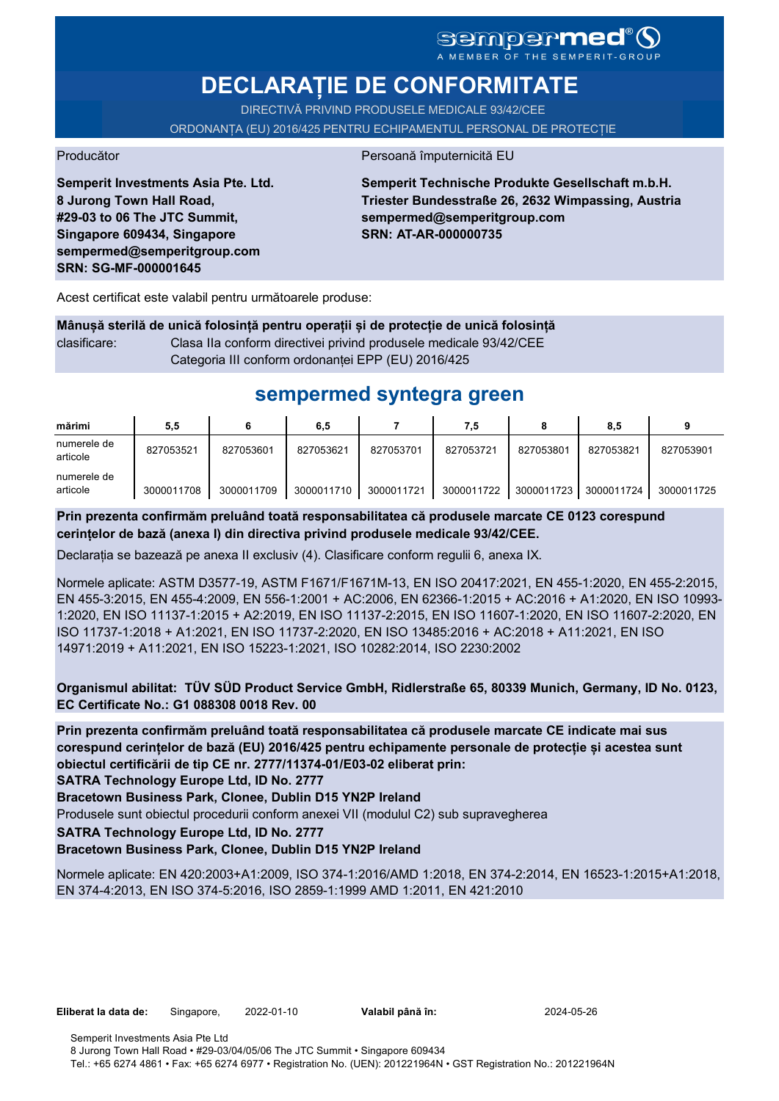### **sempermed** A MEMBER OF THE SEMPERIT-GROUP

# **DECLARAȚIE DE CONFORMITATE**

DIRECTIVĂ PRIVIND PRODUSELE MEDICALE 93/42/CEE ORDONANȚA (EU) 2016/425 PENTRU ECHIPAMENTUL PERSONAL DE PROTECȚIE

Producător Persoană împuternicită EU

**Semperit Investments Asia Pte. Ltd. 8 Jurong Town Hall Road, #29-03 to 06 The JTC Summit, Singapore 609434, Singapore sempermed@semperitgroup.com SRN: SG-MF-000001645**

**Semperit Technische Produkte Gesellschaft m.b.H. Triester Bundesstraße 26, 2632 Wimpassing, Austria sempermed@semperitgroup.com SRN: AT-AR-000000735**

Acest certificat este valabil pentru următoarele produse:

**Mânușă sterilă de unică folosință pentru operații și de protecție de unică folosință** clasificare: Clasa IIa conform directivei privind produsele medicale 93/42/CEE Categoria III conform ordonanței EPP (EU) 2016/425

# **sempermed syntegra green**

| mărimi                  | 5,5        |            | 6,5        |            | 7.5        |            | 8.5        |            |
|-------------------------|------------|------------|------------|------------|------------|------------|------------|------------|
| numerele de<br>articole | 827053521  | 827053601  | 827053621  | 827053701  | 827053721  | 827053801  | 827053821  | 827053901  |
| numerele de<br>articole | 3000011708 | 3000011709 | 3000011710 | 3000011721 | 3000011722 | 3000011723 | 3000011724 | 3000011725 |

**Prin prezenta confirmăm preluând toată responsabilitatea că produsele marcate CE 0123 corespund cerințelor de bază (anexa I) din directiva privind produsele medicale 93/42/CEE.**

Declarația se bazează pe anexa II exclusiv (4). Clasificare conform regulii 6, anexa IX.

Normele aplicate: ASTM D3577-19, ASTM F1671/F1671M-13, EN ISO 20417:2021, EN 455-1:2020, EN 455-2:2015, EN 455-3:2015, EN 455-4:2009, EN 556-1:2001 + AC:2006, EN 62366-1:2015 + AC:2016 + A1:2020, EN ISO 10993- 1:2020, EN ISO 11137-1:2015 + A2:2019, EN ISO 11137-2:2015, EN ISO 11607-1:2020, EN ISO 11607-2:2020, EN ISO 11737-1:2018 + A1:2021, EN ISO 11737-2:2020, EN ISO 13485:2016 + AC:2018 + A11:2021, EN ISO 14971:2019 + A11:2021, EN ISO 15223-1:2021, ISO 10282:2014, ISO 2230:2002

**Organismul abilitat: TÜV SÜD Product Service GmbH, Ridlerstraße 65, 80339 Munich, Germany, ID No. 0123, EC Certificate No.: G1 088308 0018 Rev. 00** 

**Prin prezenta confirmăm preluând toată responsabilitatea că produsele marcate CE indicate mai sus corespund cerințelor de bază (EU) 2016/425 pentru echipamente personale de protecție și acestea sunt obiectul certificării de tip CE nr. 2777/11374-01/E03-02 eliberat prin:**

**SATRA Technology Europe Ltd, ID No. 2777**

**Bracetown Business Park, Clonee, Dublin D15 YN2P Ireland**

Produsele sunt obiectul procedurii conform anexei VII (modulul C2) sub supravegherea

#### **SATRA Technology Europe Ltd, ID No. 2777**

**Bracetown Business Park, Clonee, Dublin D15 YN2P Ireland**

Normele aplicate: EN 420:2003+A1:2009, ISO 374-1:2016/AMD 1:2018, EN 374-2:2014, EN 16523-1:2015+A1:2018, EN 374-4:2013, EN ISO 374-5:2016, ISO 2859-1:1999 AMD 1:2011, EN 421:2010

Valabil până în: 2024-05-26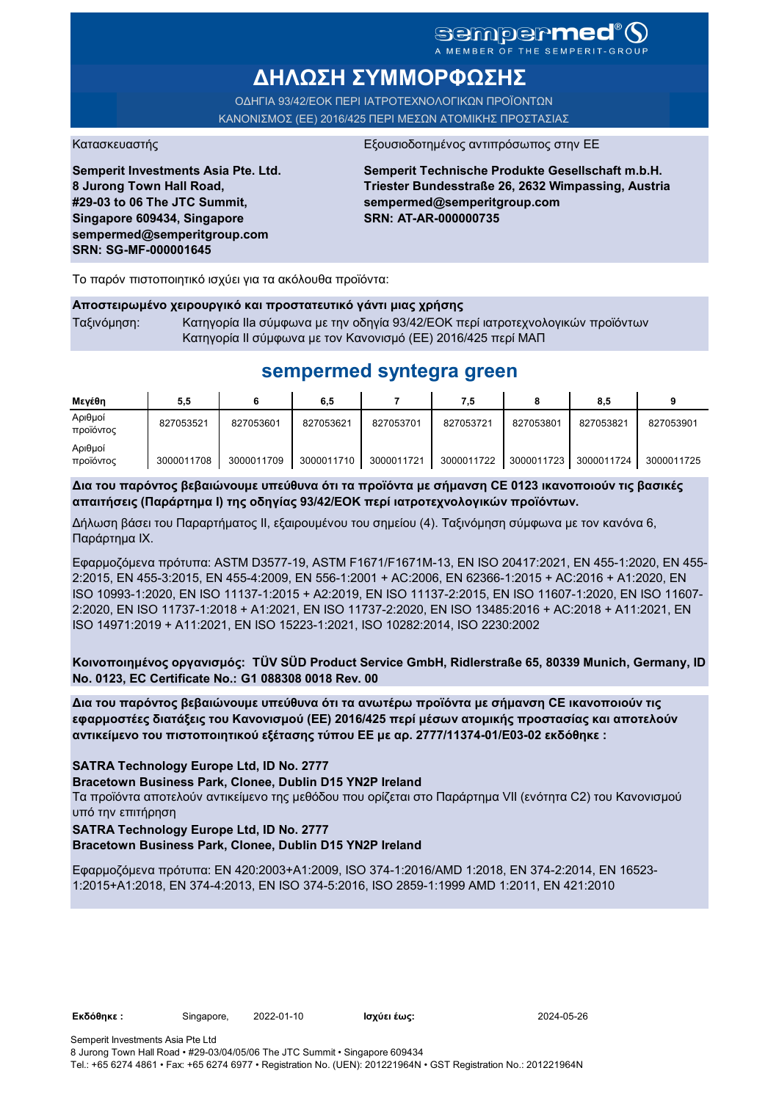# sempermed<sup>®</sup>(S

A MEMBER OF THE SEMPERI

# **ΔΗΛΩΣΗ ΣΥΜΜΟΡΦΩΣΗΣ**

ΟΔΗΓΙΑ 93/42/ΕΟΚ ΠΕΡΙ ΙΑΤΡΟΤΕΧΝΟΛΟΓΙΚΩΝ ΠΡΟΪΟΝΤΩΝ ΚΑΝΟΝΙΣΜΟΣ (ΕΕ) 2016/425 ΠΕΡΙ ΜΕΣΩΝ ΑΤΟΜΙΚΗΣ ΠΡΟΣΤΑΣΙΑΣ

**Semperit Investments Asia Pte. Ltd. 8 Jurong Town Hall Road, #29-03 to 06 The JTC Summit, Singapore 609434, Singapore sempermed@semperitgroup.com SRN: SG-MF-000001645**

#### Κατασκευαστής Εξουσιοδοτημένος αντιπρόσωπος στην ΕΕ

**Semperit Technische Produkte Gesellschaft m.b.H. Triester Bundesstraße 26, 2632 Wimpassing, Austria sempermed@semperitgroup.com SRN: AT-AR-000000735**

Το παρόν πιστοποιητικό ισχύει για τα ακόλουθα προϊόντα:

### **Αποστειρωμένο χειρουργικό και προστατευτικό γάντι μιας χρήσης**

Ταξινόμηση: Κατηγορία IIa σύμφωνα με την οδηγία 93/42/ΕΟΚ περί ιατροτεχνολογικών προϊόντων Κατηγορία II σύμφωνα με τον Κανονισμό (ΕΕ) 2016/425 περί ΜΑΠ

## **sempermed syntegra green**

| Μενέθη               | 5,5        |            | 6,5        |            | 7.5        |            | 8,5        |            |
|----------------------|------------|------------|------------|------------|------------|------------|------------|------------|
| Αριθμοί<br>προϊόντος | 827053521  | 827053601  | 827053621  | 827053701  | 827053721  | 827053801  | 827053821  | 827053901  |
| Αριθμοί<br>προϊόντος | 3000011708 | 3000011709 | 3000011710 | 3000011721 | 3000011722 | 3000011723 | 3000011724 | 3000011725 |

**Δια του παρόντος βεβαιώνουμε υπεύθυνα ότι τα προϊόντα με σήμανση CE 0123 ικανοποιούν τις βασικές απαιτήσεις (Παράρτημα I) της οδηγίας 93/42/ΕΟΚ περί ιατροτεχνολογικών προϊόντων.**

Δήλωση βάσει του Παραρτήματος II, εξαιρουμένου του σημείου (4). Ταξινόμηση σύμφωνα με τον κανόνα 6, Παράρτημα IX.

Εφαρμοζόμενα πρότυπα: ASTM D3577-19, ASTM F1671/F1671M-13, EN ISO 20417:2021, EN 455-1:2020, EN 455- 2:2015, EN 455-3:2015, EN 455-4:2009, EN 556-1:2001 + AC:2006, EN 62366-1:2015 + AC:2016 + A1:2020, EN ISO 10993-1:2020, EN ISO 11137-1:2015 + A2:2019, EN ISO 11137-2:2015, EN ISO 11607-1:2020, EN ISO 11607- 2:2020, EN ISO 11737-1:2018 + A1:2021, EN ISO 11737-2:2020, EN ISO 13485:2016 + AC:2018 + A11:2021, EN ISO 14971:2019 + A11:2021, EN ISO 15223-1:2021, ISO 10282:2014, ISO 2230:2002

**Κοινοποιημένος οργανισμός: TÜV SÜD Product Service GmbH, Ridlerstraße 65, 80339 Munich, Germany, ID No. 0123, EC Certificate No.: G1 088308 0018 Rev. 00** 

**Δια του παρόντος βεβαιώνουμε υπεύθυνα ότι τα ανωτέρω προϊόντα με σήμανση CE ικανοποιούν τις εφαρμοστέες διατάξεις του Κανονισμού (ΕΕ) 2016/425 περί μέσων ατομικής προστασίας και αποτελούν αντικείμενο του πιστοποιητικού εξέτασης τύπου ΕΕ με αρ. 2777/11374-01/E03-02 εκδόθηκε :**

**SATRA Technology Europe Ltd, ID No. 2777**

#### **Bracetown Business Park, Clonee, Dublin D15 YN2P Ireland**

Τα προϊόντα αποτελούν αντικείμενο της μεθόδου που ορίζεται στο Παράρτημα VII (ενότητα C2) του Κανονισμού υπό την επιτήρηση

**SATRA Technology Europe Ltd, ID No. 2777**

**Bracetown Business Park, Clonee, Dublin D15 YN2P Ireland**

Εφαρμοζόμενα πρότυπα: EN 420:2003+A1:2009, ISO 374-1:2016/AMD 1:2018, EN 374-2:2014, EN 16523- 1:2015+A1:2018, EN 374-4:2013, EN ISO 374-5:2016, ISO 2859-1:1999 AMD 1:2011, EN 421:2010

2024-05-26

Tel.: +65 6274 4861 • Fax: +65 6274 6977 • Registration No. (UEN): 201221964N • GST Registration No.: 201221964N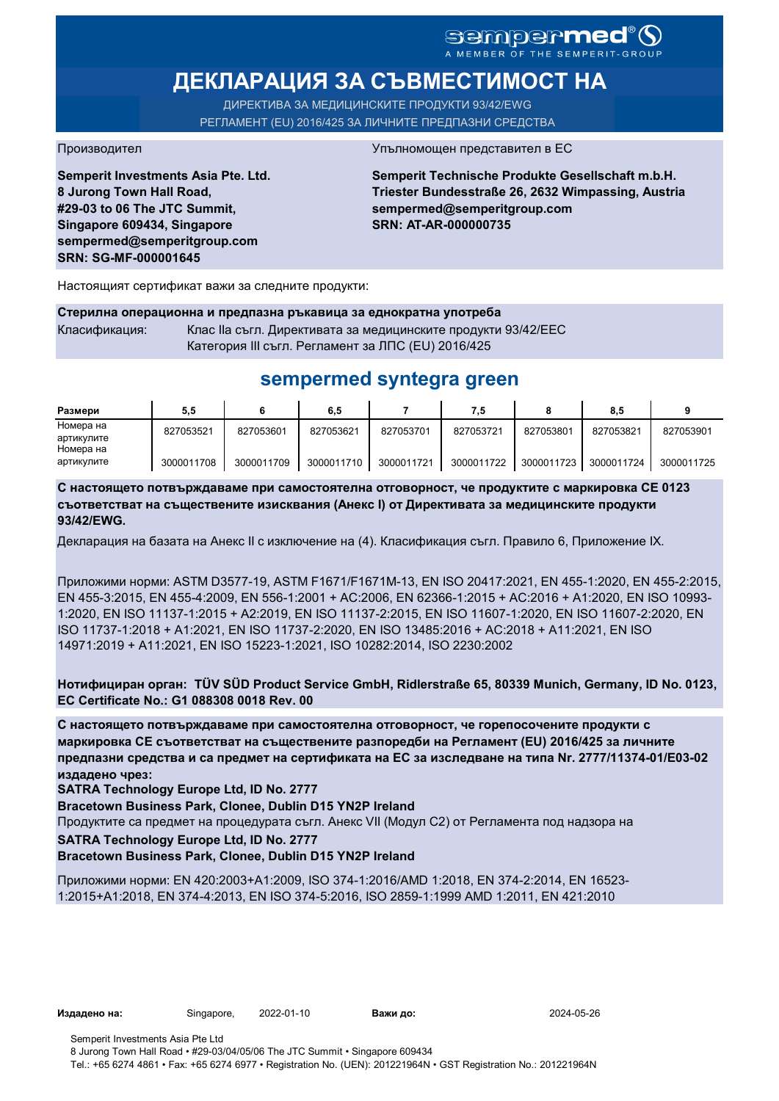# SOMPOPMED<sup>®</sup>O

# **ДЕКЛАРАЦИЯ ЗА СЪВМЕСТИМОСТ НА**

ДИРЕКТИВА ЗА МЕДИЦИНСКИТЕ ПРОДУКТИ 93/42/EWG РЕГЛАМЕНТ (EU) 2016/425 ЗА ЛИЧНИТЕ ПРЕДПАЗНИ СРЕДСТВА

**Semperit Investments Asia Pte. Ltd. 8 Jurong Town Hall Road, #29-03 to 06 The JTC Summit, Singapore 609434, Singapore sempermed@semperitgroup.com SRN: SG-MF-000001645**

#### Производител Упълномощен представител в ЕС

**Semperit Technische Produkte Gesellschaft m.b.H. Triester Bundesstraße 26, 2632 Wimpassing, Austria sempermed@semperitgroup.com SRN: AT-AR-000000735**

Настоящият сертификат важи за следните продукти:

## **Стерилна операционна и предпазна ръкавица за еднократна употреба**

Класификация: Клас IIa съгл. Директивата за медицинските продукти 93/42/EEC Категория III съгл. Регламент за ЛПС (EU) 2016/425

## **sempermed syntegra green**

| Размери    | 5.5        |            | 6.5        |            | 7.5        |            | 8.5        |            |
|------------|------------|------------|------------|------------|------------|------------|------------|------------|
| Номера на  | 827053521  | 827053601  | 827053621  | 827053701  | 827053721  | 827053801  | 827053821  | 827053901  |
| артикулите |            |            |            |            |            |            |            |            |
| Номера на  |            |            |            |            |            |            |            |            |
| артикулите | 3000011708 | 3000011709 | 3000011710 | 3000011721 | 3000011722 | 3000011723 | 3000011724 | 3000011725 |

**С настоящето потвърждаваме при самостоятелна отговорност, че продуктите с маркировка СЕ 0123 съответстват на съществените изисквания (Анекс I) от Директивата за медицинските продукти 93/42/EWG.**

Декларация на базата на Анекс II с изключение на (4). Класификация съгл. Правило 6, Приложение IX.

Приложими норми: ASTM D3577-19, ASTM F1671/F1671M-13, EN ISO 20417:2021, EN 455-1:2020, EN 455-2:2015, EN 455-3:2015, EN 455-4:2009, EN 556-1:2001 + AC:2006, EN 62366-1:2015 + AC:2016 + A1:2020, EN ISO 10993- 1:2020, EN ISO 11137-1:2015 + A2:2019, EN ISO 11137-2:2015, EN ISO 11607-1:2020, EN ISO 11607-2:2020, EN ISO 11737-1:2018 + A1:2021, EN ISO 11737-2:2020, EN ISO 13485:2016 + AC:2018 + A11:2021, EN ISO 14971:2019 + A11:2021, EN ISO 15223-1:2021, ISO 10282:2014, ISO 2230:2002

**Нотифициран орган: TÜV SÜD Product Service GmbH, Ridlerstraße 65, 80339 Munich, Germany, ID No. 0123, EC Certificate No.: G1 088308 0018 Rev. 00** 

**С настоящето потвърждаваме при самостоятелна отговорност, че горепосочените продукти с маркировка СЕ съответстват на съществените разпоредби на Регламент (EU) 2016/425 за личните предпазни средства и са предмет на сертификата на ЕС за изследване на типа Nr. 2777/11374-01/E03-02 издадено чрез:**

**SATRA Technology Europe Ltd, ID No. 2777**

**Bracetown Business Park, Clonee, Dublin D15 YN2P Ireland**

Продуктите са предмет на процедурата съгл. Анекс VII (Модул С2) от Регламента под надзора на

**SATRA Technology Europe Ltd, ID No. 2777**

**Bracetown Business Park, Clonee, Dublin D15 YN2P Ireland**

Приложими норми: EN 420:2003+A1:2009, ISO 374-1:2016/AMD 1:2018, EN 374-2:2014, EN 16523- 1:2015+A1:2018, EN 374-4:2013, EN ISO 374-5:2016, ISO 2859-1:1999 AMD 1:2011, EN 421:2010

**Издадено на:** Singapore, **Важи до:**

2022-01-10 2024-05-26